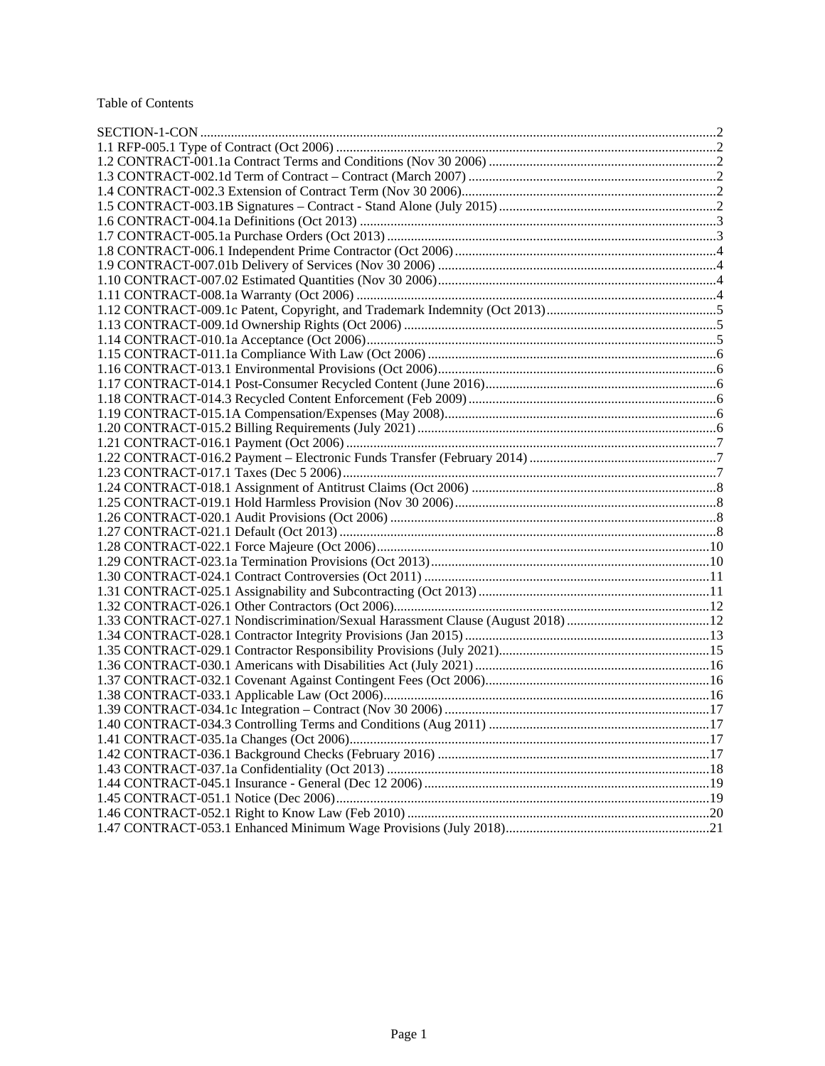## Table of Contents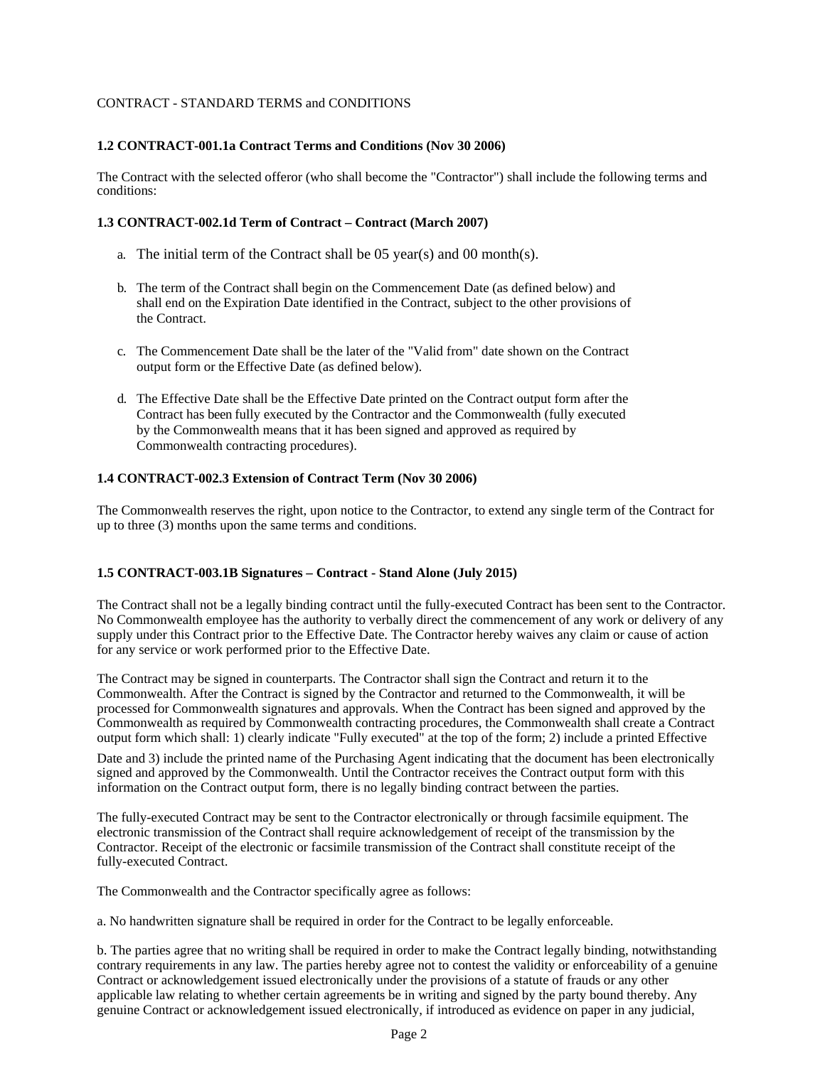## CONTRACT - STANDARD TERMS and CONDITIONS

## <span id="page-1-0"></span>**1.2 CONTRACT-001.1a Contract Terms and Conditions (Nov 30 2006)**

The Contract with the selected offeror (who shall become the "Contractor") shall include the following terms and conditions:

## <span id="page-1-1"></span>**1.3 CONTRACT-002.1d Term of Contract – Contract (March 2007)**

- a. The initial term of the Contract shall be 05 year(s) and 00 month(s).
- b. The term of the Contract shall begin on the Commencement Date (as defined below) and shall end on the Expiration Date identified in the Contract, subject to the other provisions of the Contract.
- c. The Commencement Date shall be the later of the "Valid from" date shown on the Contract output form or the Effective Date (as defined below).
- d. The Effective Date shall be the Effective Date printed on the Contract output form after the Contract has been fully executed by the Contractor and the Commonwealth (fully executed by the Commonwealth means that it has been signed and approved as required by Commonwealth contracting procedures).

## <span id="page-1-2"></span>**1.4 CONTRACT-002.3 Extension of Contract Term (Nov 30 2006)**

The Commonwealth reserves the right, upon notice to the Contractor, to extend any single term of the Contract for up to three (3) months upon the same terms and conditions.

## <span id="page-1-3"></span>**1.5 CONTRACT-003.1B Signatures – Contract - Stand Alone (July 2015)**

The Contract shall not be a legally binding contract until the fully-executed Contract has been sent to the Contractor. No Commonwealth employee has the authority to verbally direct the commencement of any work or delivery of any supply under this Contract prior to the Effective Date. The Contractor hereby waives any claim or cause of action for any service or work performed prior to the Effective Date.

The Contract may be signed in counterparts. The Contractor shall sign the Contract and return it to the Commonwealth. After the Contract is signed by the Contractor and returned to the Commonwealth, it will be processed for Commonwealth signatures and approvals. When the Contract has been signed and approved by the Commonwealth as required by Commonwealth contracting procedures, the Commonwealth shall create a Contract output form which shall: 1) clearly indicate "Fully executed" at the top of the form; 2) include a printed Effective Date and 3) include the printed name of the Purchasing Agent indicating that the document has been electronically signed and approved by the Commonwealth. Until the Contractor receives the Contract output form with this information on the Contract output form, there is no legally binding contract between the parties.

The fully-executed Contract may be sent to the Contractor electronically or through facsimile equipment. The electronic transmission of the Contract shall require acknowledgement of receipt of the transmission by the Contractor. Receipt of the electronic or facsimile transmission of the Contract shall constitute receipt of the fully-executed Contract.

The Commonwealth and the Contractor specifically agree as follows:

a. No handwritten signature shall be required in order for the Contract to be legally enforceable.

b. The parties agree that no writing shall be required in order to make the Contract legally binding, notwithstanding contrary requirements in any law. The parties hereby agree not to contest the validity or enforceability of a genuine Contract or acknowledgement issued electronically under the provisions of a statute of frauds or any other applicable law relating to whether certain agreements be in writing and signed by the party bound thereby. Any genuine Contract or acknowledgement issued electronically, if introduced as evidence on paper in any judicial,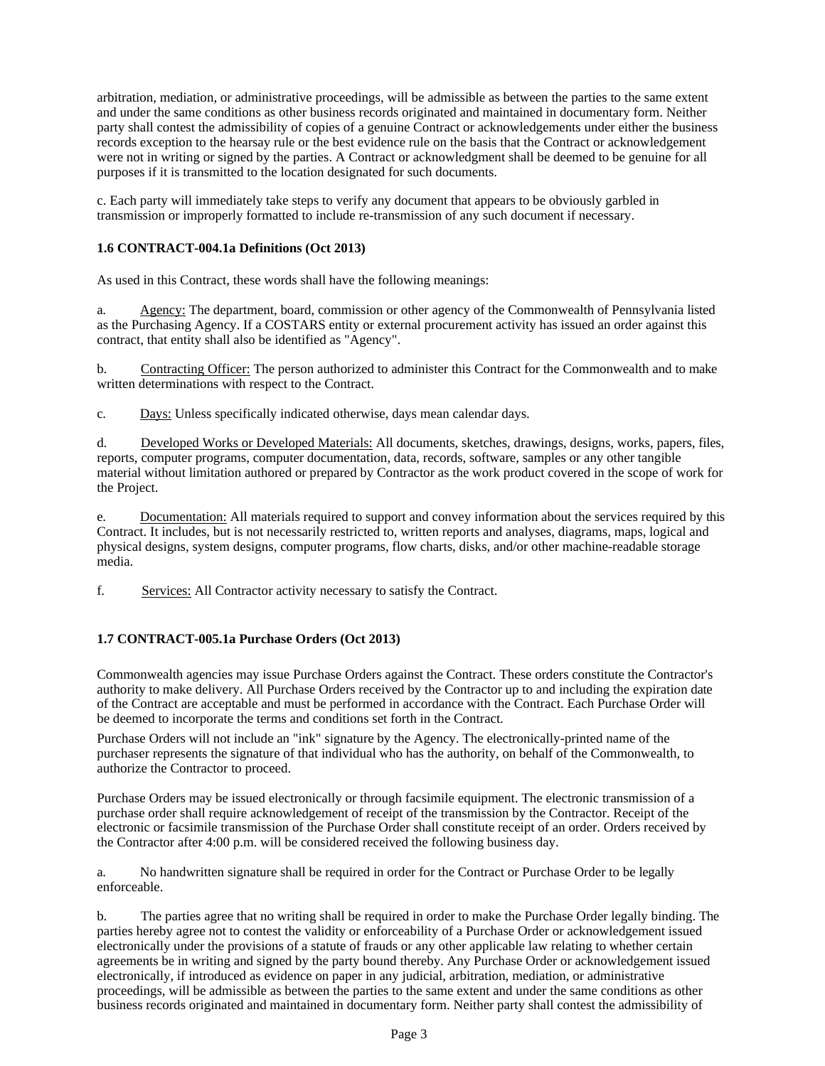arbitration, mediation, or administrative proceedings, will be admissible as between the parties to the same extent and under the same conditions as other business records originated and maintained in documentary form. Neither party shall contest the admissibility of copies of a genuine Contract or acknowledgements under either the business records exception to the hearsay rule or the best evidence rule on the basis that the Contract or acknowledgement were not in writing or signed by the parties. A Contract or acknowledgment shall be deemed to be genuine for all purposes if it is transmitted to the location designated for such documents.

c. Each party will immediately take steps to verify any document that appears to be obviously garbled in transmission or improperly formatted to include re-transmission of any such document if necessary.

## <span id="page-2-0"></span>**1.6 CONTRACT-004.1a Definitions (Oct 2013)**

As used in this Contract, these words shall have the following meanings:

a. Agency: The department, board, commission or other agency of the Commonwealth of Pennsylvania listed as the Purchasing Agency. If a COSTARS entity or external procurement activity has issued an order against this contract, that entity shall also be identified as "Agency".

b. Contracting Officer: The person authorized to administer this Contract for the Commonwealth and to make written determinations with respect to the Contract.

c. Days: Unless specifically indicated otherwise, days mean calendar days.

d. Developed Works or Developed Materials: All documents, sketches, drawings, designs, works, papers, files, reports, computer programs, computer documentation, data, records, software, samples or any other tangible material without limitation authored or prepared by Contractor as the work product covered in the scope of work for the Project.

e. Documentation: All materials required to support and convey information about the services required by this Contract. It includes, but is not necessarily restricted to, written reports and analyses, diagrams, maps, logical and physical designs, system designs, computer programs, flow charts, disks, and/or other machine-readable storage media.

f. Services: All Contractor activity necessary to satisfy the Contract.

# <span id="page-2-1"></span>**1.7 CONTRACT-005.1a Purchase Orders (Oct 2013)**

Commonwealth agencies may issue Purchase Orders against the Contract. These orders constitute the Contractor's authority to make delivery. All Purchase Orders received by the Contractor up to and including the expiration date of the Contract are acceptable and must be performed in accordance with the Contract. Each Purchase Order will be deemed to incorporate the terms and conditions set forth in the Contract.

Purchase Orders will not include an "ink" signature by the Agency. The electronically-printed name of the purchaser represents the signature of that individual who has the authority, on behalf of the Commonwealth, to authorize the Contractor to proceed.

Purchase Orders may be issued electronically or through facsimile equipment. The electronic transmission of a purchase order shall require acknowledgement of receipt of the transmission by the Contractor. Receipt of the electronic or facsimile transmission of the Purchase Order shall constitute receipt of an order. Orders received by the Contractor after 4:00 p.m. will be considered received the following business day.

a. No handwritten signature shall be required in order for the Contract or Purchase Order to be legally enforceable.

b. The parties agree that no writing shall be required in order to make the Purchase Order legally binding. The parties hereby agree not to contest the validity or enforceability of a Purchase Order or acknowledgement issued electronically under the provisions of a statute of frauds or any other applicable law relating to whether certain agreements be in writing and signed by the party bound thereby. Any Purchase Order or acknowledgement issued electronically, if introduced as evidence on paper in any judicial, arbitration, mediation, or administrative proceedings, will be admissible as between the parties to the same extent and under the same conditions as other business records originated and maintained in documentary form. Neither party shall contest the admissibility of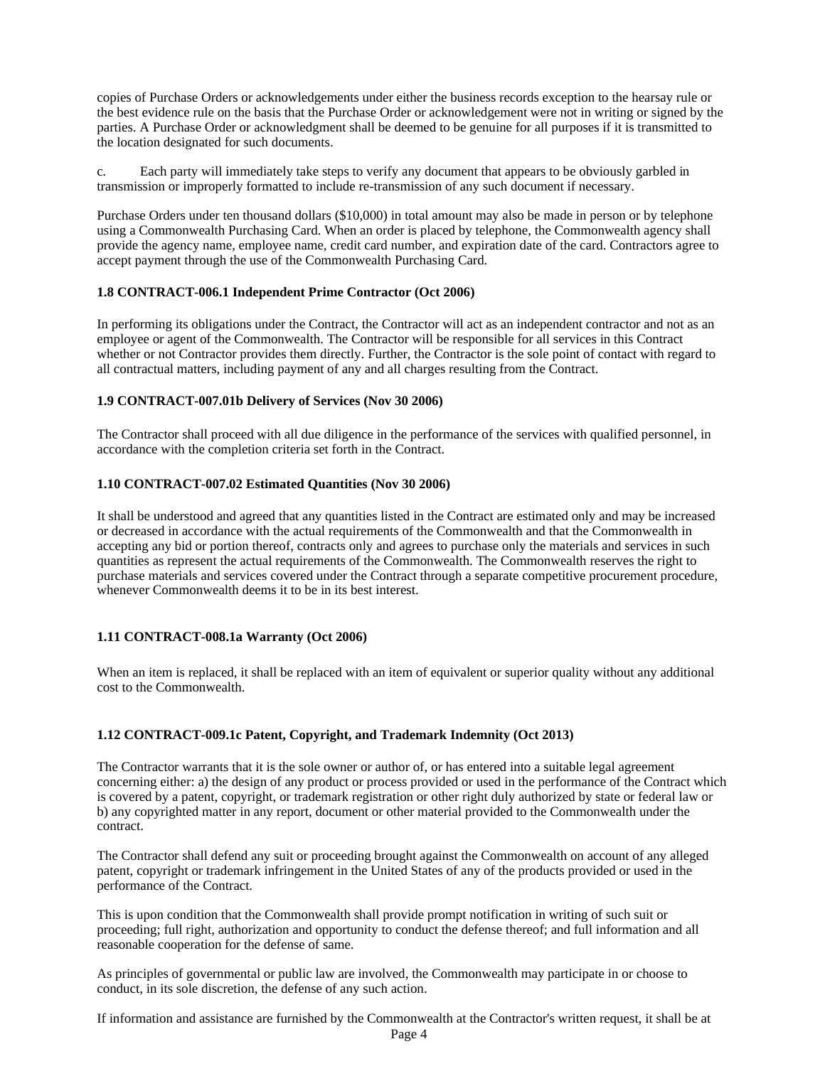copies of Purchase Orders or acknowledgements under either the business records exception to the hearsay rule or the best evidence rule on the basis that the Purchase Order or acknowledgement were not in writing or signed by the parties. A Purchase Order or acknowledgment shall be deemed to be genuine for all purposes if it is transmitted to the location designated for such documents.

c. Each party will immediately take steps to verify any document that appears to be obviously garbled in transmission or improperly formatted to include re-transmission of any such document if necessary.

Purchase Orders under ten thousand dollars (\$10,000) in total amount may also be made in person or by telephone using a Commonwealth Purchasing Card. When an order is placed by telephone, the Commonwealth agency shall provide the agency name, employee name, credit card number, and expiration date of the card. Contractors agree to accept payment through the use of the Commonwealth Purchasing Card.

### <span id="page-3-0"></span>**1.8 CONTRACT-006.1 Independent Prime Contractor (Oct 2006)**

In performing its obligations under the Contract, the Contractor will act as an independent contractor and not as an employee or agent of the Commonwealth. The Contractor will be responsible for all services in this Contract whether or not Contractor provides them directly. Further, the Contractor is the sole point of contact with regard to all contractual matters, including payment of any and all charges resulting from the Contract.

#### <span id="page-3-1"></span>**1.9 CONTRACT-007.01b Delivery of Services (Nov 30 2006)**

The Contractor shall proceed with all due diligence in the performance of the services with qualified personnel, in accordance with the completion criteria set forth in the Contract.

### <span id="page-3-2"></span>**1.10 CONTRACT-007.02 Estimated Quantities (Nov 30 2006)**

It shall be understood and agreed that any quantities listed in the Contract are estimated only and may be increased or decreased in accordance with the actual requirements of the Commonwealth and that the Commonwealth in accepting any bid or portion thereof, contracts only and agrees to purchase only the materials and services in such quantities as represent the actual requirements of the Commonwealth. The Commonwealth reserves the right to purchase materials and services covered under the Contract through a separate competitive procurement procedure, whenever Commonwealth deems it to be in its best interest.

#### <span id="page-3-3"></span>**1.11 CONTRACT-008.1a Warranty (Oct 2006)**

When an item is replaced, it shall be replaced with an item of equivalent or superior quality without any additional cost to the Commonwealth.

#### <span id="page-3-4"></span>**1.12 CONTRACT-009.1c Patent, Copyright, and Trademark Indemnity (Oct 2013)**

The Contractor warrants that it is the sole owner or author of, or has entered into a suitable legal agreement concerning either: a) the design of any product or process provided or used in the performance of the Contract which is covered by a patent, copyright, or trademark registration or other right duly authorized by state or federal law or b) any copyrighted matter in any report, document or other material provided to the Commonwealth under the contract.

The Contractor shall defend any suit or proceeding brought against the Commonwealth on account of any alleged patent, copyright or trademark infringement in the United States of any of the products provided or used in the performance of the Contract.

This is upon condition that the Commonwealth shall provide prompt notification in writing of such suit or proceeding; full right, authorization and opportunity to conduct the defense thereof; and full information and all reasonable cooperation for the defense of same.

As principles of governmental or public law are involved, the Commonwealth may participate in or choose to conduct, in its sole discretion, the defense of any such action.

If information and assistance are furnished by the Commonwealth at the Contractor's written request, it shall be at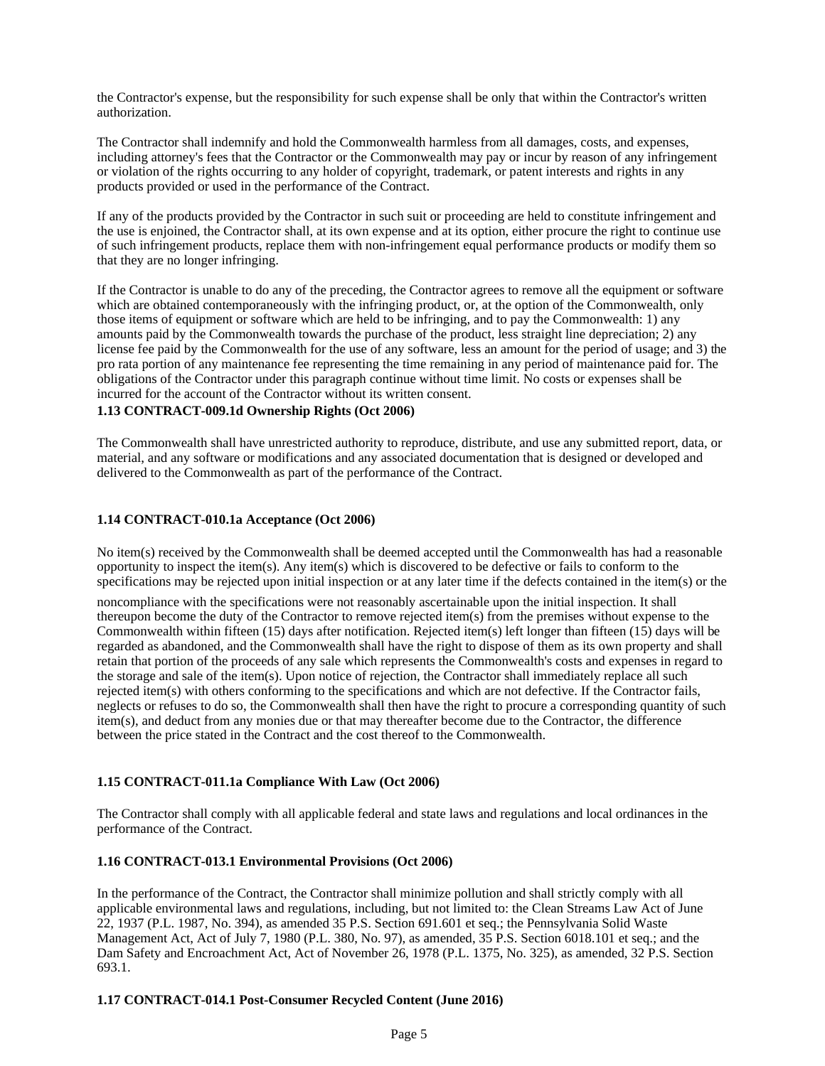the Contractor's expense, but the responsibility for such expense shall be only that within the Contractor's written authorization.

The Contractor shall indemnify and hold the Commonwealth harmless from all damages, costs, and expenses, including attorney's fees that the Contractor or the Commonwealth may pay or incur by reason of any infringement or violation of the rights occurring to any holder of copyright, trademark, or patent interests and rights in any products provided or used in the performance of the Contract.

If any of the products provided by the Contractor in such suit or proceeding are held to constitute infringement and the use is enjoined, the Contractor shall, at its own expense and at its option, either procure the right to continue use of such infringement products, replace them with non-infringement equal performance products or modify them so that they are no longer infringing.

If the Contractor is unable to do any of the preceding, the Contractor agrees to remove all the equipment or software which are obtained contemporaneously with the infringing product, or, at the option of the Commonwealth, only those items of equipment or software which are held to be infringing, and to pay the Commonwealth: 1) any amounts paid by the Commonwealth towards the purchase of the product, less straight line depreciation; 2) any license fee paid by the Commonwealth for the use of any software, less an amount for the period of usage; and 3) the pro rata portion of any maintenance fee representing the time remaining in any period of maintenance paid for. The obligations of the Contractor under this paragraph continue without time limit. No costs or expenses shall be incurred for the account of the Contractor without its written consent.

## <span id="page-4-0"></span>**1.13 CONTRACT-009.1d Ownership Rights (Oct 2006)**

The Commonwealth shall have unrestricted authority to reproduce, distribute, and use any submitted report, data, or material, and any software or modifications and any associated documentation that is designed or developed and delivered to the Commonwealth as part of the performance of the Contract.

### <span id="page-4-1"></span>**1.14 CONTRACT-010.1a Acceptance (Oct 2006)**

No item(s) received by the Commonwealth shall be deemed accepted until the Commonwealth has had a reasonable opportunity to inspect the item(s). Any item(s) which is discovered to be defective or fails to conform to the specifications may be rejected upon initial inspection or at any later time if the defects contained in the item(s) or the

noncompliance with the specifications were not reasonably ascertainable upon the initial inspection. It shall thereupon become the duty of the Contractor to remove rejected item(s) from the premises without expense to the Commonwealth within fifteen (15) days after notification. Rejected item(s) left longer than fifteen (15) days will be regarded as abandoned, and the Commonwealth shall have the right to dispose of them as its own property and shall retain that portion of the proceeds of any sale which represents the Commonwealth's costs and expenses in regard to the storage and sale of the item(s). Upon notice of rejection, the Contractor shall immediately replace all such rejected item(s) with others conforming to the specifications and which are not defective. If the Contractor fails, neglects or refuses to do so, the Commonwealth shall then have the right to procure a corresponding quantity of such item(s), and deduct from any monies due or that may thereafter become due to the Contractor, the difference between the price stated in the Contract and the cost thereof to the Commonwealth.

## <span id="page-4-2"></span>**1.15 CONTRACT-011.1a Compliance With Law (Oct 2006)**

The Contractor shall comply with all applicable federal and state laws and regulations and local ordinances in the performance of the Contract.

#### <span id="page-4-3"></span>**1.16 CONTRACT-013.1 Environmental Provisions (Oct 2006)**

In the performance of the Contract, the Contractor shall minimize pollution and shall strictly comply with all applicable environmental laws and regulations, including, but not limited to: the Clean Streams Law Act of June 22, 1937 (P.L. 1987, No. 394), as amended 35 P.S. Section 691.601 et seq.; the Pennsylvania Solid Waste Management Act, Act of July 7, 1980 (P.L. 380, No. 97), as amended, 35 P.S. Section 6018.101 et seq.; and the Dam Safety and Encroachment Act, Act of November 26, 1978 (P.L. 1375, No. 325), as amended, 32 P.S. Section 693.1.

## <span id="page-4-4"></span>**1.17 CONTRACT-014.1 Post-Consumer Recycled Content (June 2016)**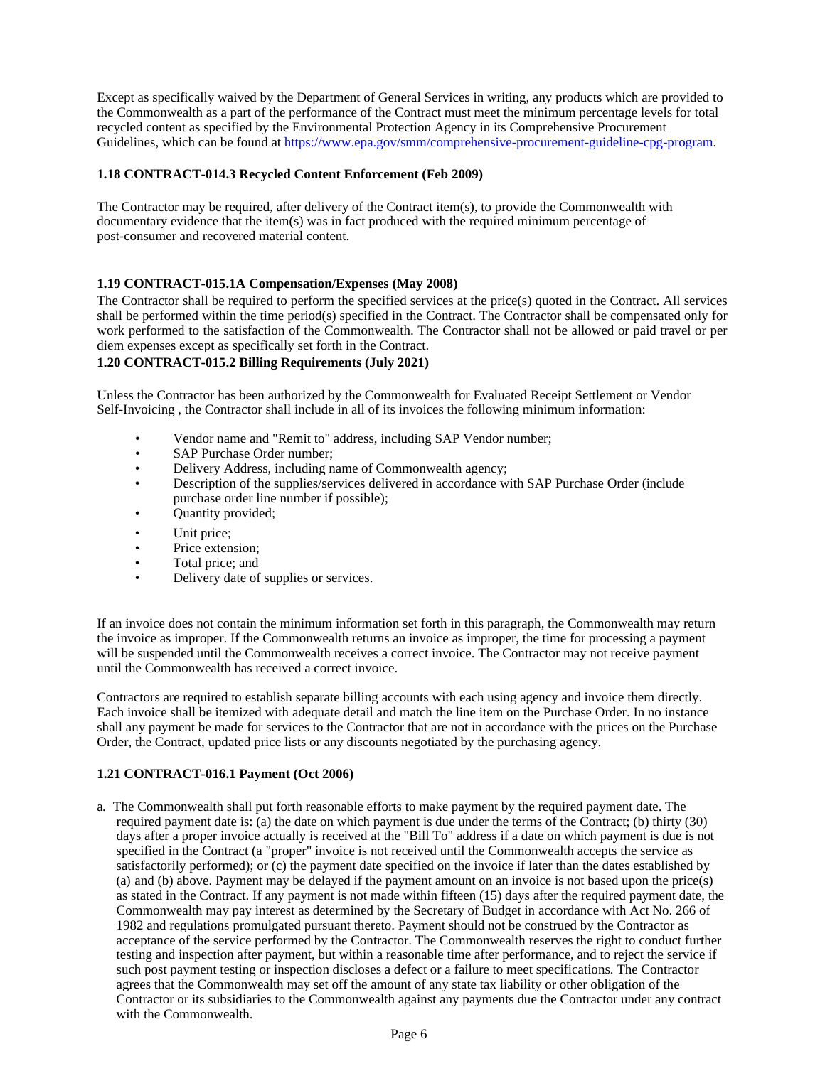Except as specifically waived by the Department of General Services in writing, any products which are provided to the Commonwealth as a part of the performance of the Contract must meet the minimum percentage levels for total recycled content as specified by the Environmental Protection Agency in its Comprehensive Procurement Guidelines, which can be found at [https://www.epa.gov/smm/comprehensive-procurement-guideline-cpg-program.](http://www.epa.gov/smm/comprehensive-procurement-guideline-cpg-program)

## <span id="page-5-0"></span>**1.18 CONTRACT-014.3 Recycled Content Enforcement (Feb 2009)**

The Contractor may be required, after delivery of the Contract item(s), to provide the Commonwealth with documentary evidence that the item(s) was in fact produced with the required minimum percentage of post-consumer and recovered material content.

## <span id="page-5-1"></span>**1.19 CONTRACT-015.1A Compensation/Expenses (May 2008)**

The Contractor shall be required to perform the specified services at the price(s) quoted in the Contract. All services shall be performed within the time period(s) specified in the Contract. The Contractor shall be compensated only for work performed to the satisfaction of the Commonwealth. The Contractor shall not be allowed or paid travel or per diem expenses except as specifically set forth in the Contract.

## <span id="page-5-2"></span>**1.20 CONTRACT-015.2 Billing Requirements (July 2021)**

Unless the Contractor has been authorized by the Commonwealth for Evaluated Receipt Settlement or Vendor Self-Invoicing , the Contractor shall include in all of its invoices the following minimum information:

- Vendor name and "Remit to" address, including SAP Vendor number;
- SAP Purchase Order number;
- Delivery Address, including name of Commonwealth agency;
- Description of the supplies/services delivered in accordance with SAP Purchase Order (include purchase order line number if possible);
- Quantity provided;
- Unit price;
- Price extension:
- Total price; and
- Delivery date of supplies or services.

If an invoice does not contain the minimum information set forth in this paragraph, the Commonwealth may return the invoice as improper. If the Commonwealth returns an invoice as improper, the time for processing a payment will be suspended until the Commonwealth receives a correct invoice. The Contractor may not receive payment until the Commonwealth has received a correct invoice.

Contractors are required to establish separate billing accounts with each using agency and invoice them directly. Each invoice shall be itemized with adequate detail and match the line item on the Purchase Order. In no instance shall any payment be made for services to the Contractor that are not in accordance with the prices on the Purchase Order, the Contract, updated price lists or any discounts negotiated by the purchasing agency.

# <span id="page-5-3"></span>**1.21 CONTRACT-016.1 Payment (Oct 2006)**

a. The Commonwealth shall put forth reasonable efforts to make payment by the required payment date. The required payment date is: (a) the date on which payment is due under the terms of the Contract; (b) thirty (30) days after a proper invoice actually is received at the "Bill To" address if a date on which payment is due is not specified in the Contract (a "proper" invoice is not received until the Commonwealth accepts the service as satisfactorily performed); or (c) the payment date specified on the invoice if later than the dates established by (a) and (b) above. Payment may be delayed if the payment amount on an invoice is not based upon the price(s) as stated in the Contract. If any payment is not made within fifteen (15) days after the required payment date, the Commonwealth may pay interest as determined by the Secretary of Budget in accordance with Act No. 266 of 1982 and regulations promulgated pursuant thereto. Payment should not be construed by the Contractor as acceptance of the service performed by the Contractor. The Commonwealth reserves the right to conduct further testing and inspection after payment, but within a reasonable time after performance, and to reject the service if such post payment testing or inspection discloses a defect or a failure to meet specifications. The Contractor agrees that the Commonwealth may set off the amount of any state tax liability or other obligation of the Contractor or its subsidiaries to the Commonwealth against any payments due the Contractor under any contract with the Commonwealth.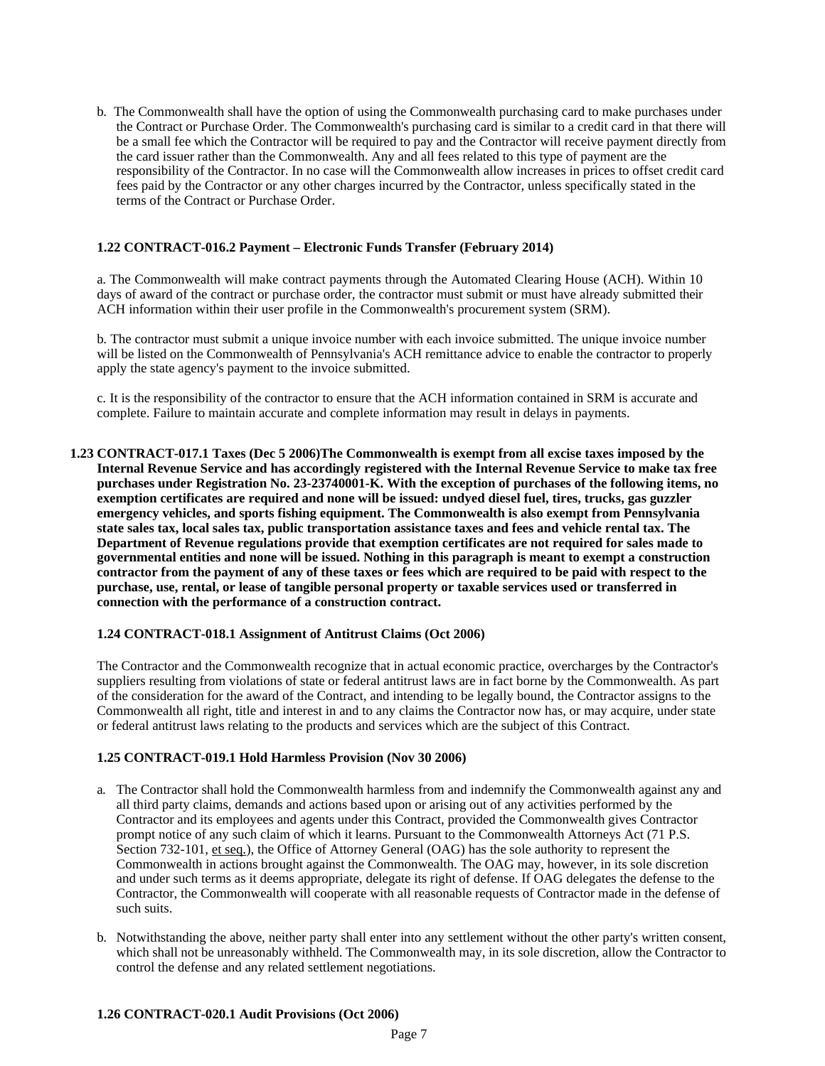b. The Commonwealth shall have the option of using the Commonwealth purchasing card to make purchases under the Contract or Purchase Order. The Commonwealth's purchasing card is similar to a credit card in that there will be a small fee which the Contractor will be required to pay and the Contractor will receive payment directly from the card issuer rather than the Commonwealth. Any and all fees related to this type of payment are the responsibility of the Contractor. In no case will the Commonwealth allow increases in prices to offset credit card fees paid by the Contractor or any other charges incurred by the Contractor, unless specifically stated in the terms of the Contract or Purchase Order.

## <span id="page-6-0"></span>**1.22 CONTRACT-016.2 Payment – Electronic Funds Transfer (February 2014)**

a. The Commonwealth will make contract payments through the Automated Clearing House (ACH). Within 10 days of award of the contract or purchase order, the contractor must submit or must have already submitted their ACH information within their user profile in the Commonwealth's procurement system (SRM).

b. The contractor must submit a unique invoice number with each invoice submitted. The unique invoice number will be listed on the Commonwealth of Pennsylvania's ACH remittance advice to enable the contractor to properly apply the state agency's payment to the invoice submitted.

c. It is the responsibility of the contractor to ensure that the ACH information contained in SRM is accurate and complete. Failure to maintain accurate and complete information may result in delays in payments.

<span id="page-6-1"></span>**1.23 CONTRACT-017.1 Taxes (Dec 5 2006)The Commonwealth is exempt from all excise taxes imposed by the Internal Revenue Service and has accordingly registered with the Internal Revenue Service to make tax free**  purchases under Registration No. 23-23740001-K. With the exception of purchases of the following items, no **exemption certificates are required and none will be issued: undyed diesel fuel, tires, trucks, gas guzzler emergency vehicles, and sports fishing equipment. The Commonwealth is also exempt from Pennsylvania state sales tax, local sales tax, public transportation assistance taxes and fees and vehicle rental tax. The Department of Revenue regulations provide that exemption certificates are not required for sales made to governmental entities and none will be issued. Nothing in this paragraph is meant to exempt a construction contractor from the payment of any of these taxes or fees which are required to be paid with respect to the purchase, use, rental, or lease of tangible personal property or taxable services used or transferred in connection with the performance of a construction contract.**

#### <span id="page-6-2"></span>**1.24 CONTRACT-018.1 Assignment of Antitrust Claims (Oct 2006)**

The Contractor and the Commonwealth recognize that in actual economic practice, overcharges by the Contractor's suppliers resulting from violations of state or federal antitrust laws are in fact borne by the Commonwealth. As part of the consideration for the award of the Contract, and intending to be legally bound, the Contractor assigns to the Commonwealth all right, title and interest in and to any claims the Contractor now has, or may acquire, under state or federal antitrust laws relating to the products and services which are the subject of this Contract.

#### <span id="page-6-3"></span>**1.25 CONTRACT-019.1 Hold Harmless Provision (Nov 30 2006)**

- a. The Contractor shall hold the Commonwealth harmless from and indemnify the Commonwealth against any and all third party claims, demands and actions based upon or arising out of any activities performed by the Contractor and its employees and agents under this Contract, provided the Commonwealth gives Contractor prompt notice of any such claim of which it learns. Pursuant to the Commonwealth Attorneys Act (71 P.S. Section 732-101, et seq.), the Office of Attorney General (OAG) has the sole authority to represent the Commonwealth in actions brought against the Commonwealth. The OAG may, however, in its sole discretion and under such terms as it deems appropriate, delegate its right of defense. If OAG delegates the defense to the Contractor, the Commonwealth will cooperate with all reasonable requests of Contractor made in the defense of such suits.
- b. Notwithstanding the above, neither party shall enter into any settlement without the other party's written consent, which shall not be unreasonably withheld. The Commonwealth may, in its sole discretion, allow the Contractor to control the defense and any related settlement negotiations.

## <span id="page-6-4"></span>**1.26 CONTRACT-020.1 Audit Provisions (Oct 2006)**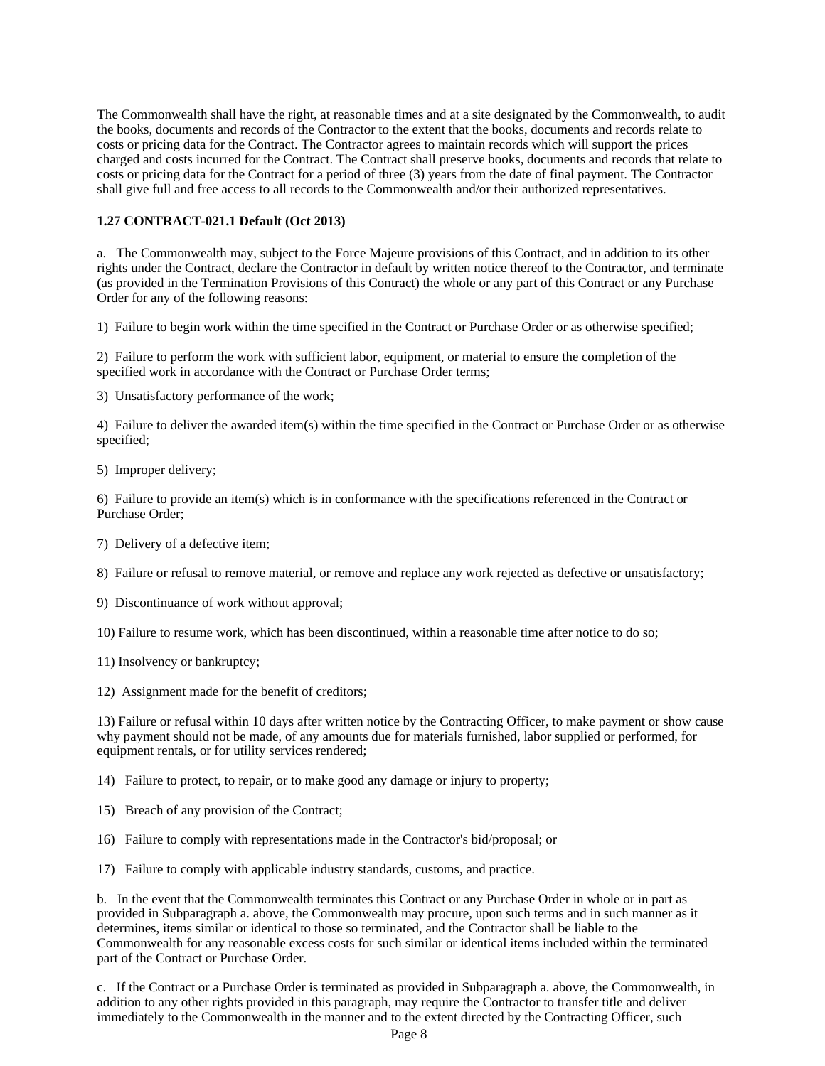The Commonwealth shall have the right, at reasonable times and at a site designated by the Commonwealth, to audit the books, documents and records of the Contractor to the extent that the books, documents and records relate to costs or pricing data for the Contract. The Contractor agrees to maintain records which will support the prices charged and costs incurred for the Contract. The Contract shall preserve books, documents and records that relate to costs or pricing data for the Contract for a period of three (3) years from the date of final payment. The Contractor shall give full and free access to all records to the Commonwealth and/or their authorized representatives.

#### <span id="page-7-0"></span>**1.27 CONTRACT-021.1 Default (Oct 2013)**

a. The Commonwealth may, subject to the Force Majeure provisions of this Contract, and in addition to its other rights under the Contract, declare the Contractor in default by written notice thereof to the Contractor, and terminate (as provided in the Termination Provisions of this Contract) the whole or any part of this Contract or any Purchase Order for any of the following reasons:

1) Failure to begin work within the time specified in the Contract or Purchase Order or as otherwise specified;

2) Failure to perform the work with sufficient labor, equipment, or material to ensure the completion of the specified work in accordance with the Contract or Purchase Order terms;

3) Unsatisfactory performance of the work;

4) Failure to deliver the awarded item(s) within the time specified in the Contract or Purchase Order or as otherwise specified;

5) Improper delivery;

6) Failure to provide an item(s) which is in conformance with the specifications referenced in the Contract or Purchase Order;

7) Delivery of a defective item;

8) Failure or refusal to remove material, or remove and replace any work rejected as defective or unsatisfactory;

9) Discontinuance of work without approval;

10) Failure to resume work, which has been discontinued, within a reasonable time after notice to do so;

11) Insolvency or bankruptcy;

12) Assignment made for the benefit of creditors;

13) Failure or refusal within 10 days after written notice by the Contracting Officer, to make payment or show cause why payment should not be made, of any amounts due for materials furnished, labor supplied or performed, for equipment rentals, or for utility services rendered;

14) Failure to protect, to repair, or to make good any damage or injury to property;

- 15) Breach of any provision of the Contract;
- 16) Failure to comply with representations made in the Contractor's bid/proposal; or

17) Failure to comply with applicable industry standards, customs, and practice.

b. In the event that the Commonwealth terminates this Contract or any Purchase Order in whole or in part as provided in Subparagraph a. above, the Commonwealth may procure, upon such terms and in such manner as it determines, items similar or identical to those so terminated, and the Contractor shall be liable to the Commonwealth for any reasonable excess costs for such similar or identical items included within the terminated part of the Contract or Purchase Order.

c. If the Contract or a Purchase Order is terminated as provided in Subparagraph a. above, the Commonwealth, in addition to any other rights provided in this paragraph, may require the Contractor to transfer title and deliver immediately to the Commonwealth in the manner and to the extent directed by the Contracting Officer, such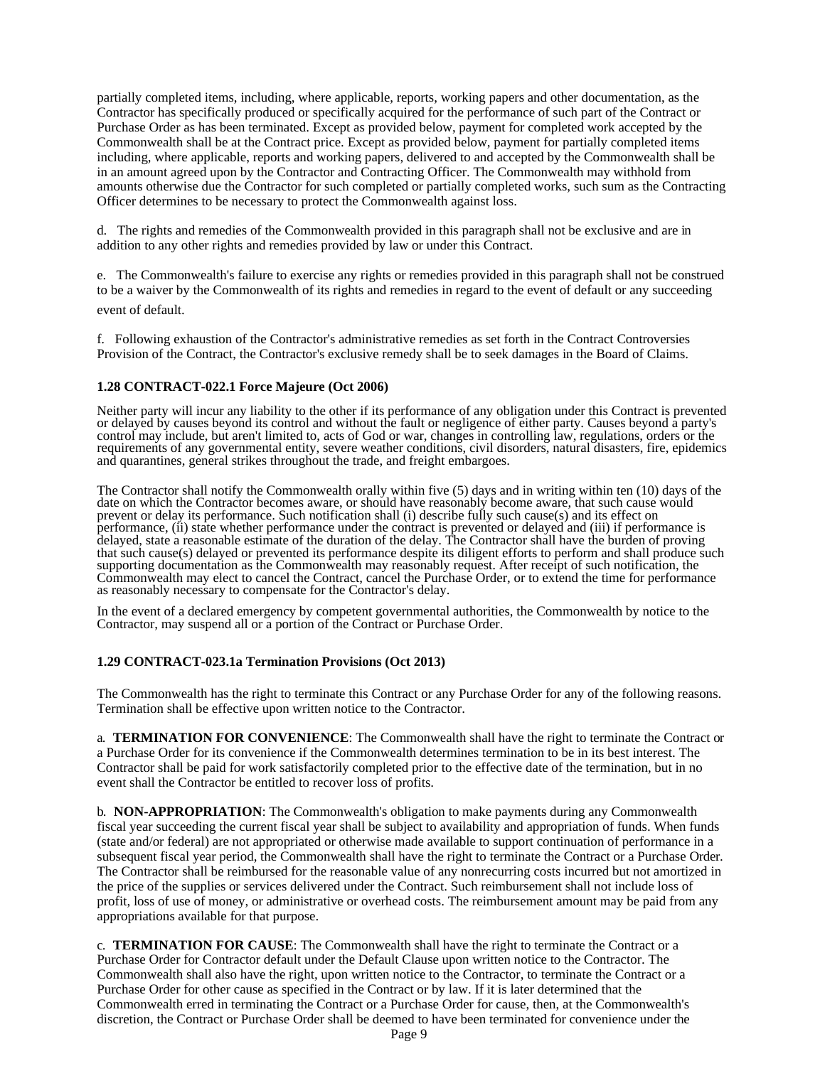partially completed items, including, where applicable, reports, working papers and other documentation, as the Contractor has specifically produced or specifically acquired for the performance of such part of the Contract or Purchase Order as has been terminated. Except as provided below, payment for completed work accepted by the Commonwealth shall be at the Contract price. Except as provided below, payment for partially completed items including, where applicable, reports and working papers, delivered to and accepted by the Commonwealth shall be in an amount agreed upon by the Contractor and Contracting Officer. The Commonwealth may withhold from amounts otherwise due the Contractor for such completed or partially completed works, such sum as the Contracting Officer determines to be necessary to protect the Commonwealth against loss.

d. The rights and remedies of the Commonwealth provided in this paragraph shall not be exclusive and are in addition to any other rights and remedies provided by law or under this Contract.

e. The Commonwealth's failure to exercise any rights or remedies provided in this paragraph shall not be construed to be a waiver by the Commonwealth of its rights and remedies in regard to the event of default or any succeeding event of default.

f. Following exhaustion of the Contractor's administrative remedies as set forth in the Contract Controversies Provision of the Contract, the Contractor's exclusive remedy shall be to seek damages in the Board of Claims.

#### <span id="page-8-0"></span>**1.28 CONTRACT-022.1 Force Majeure (Oct 2006)**

Neither party will incur any liability to the other if its performance of any obligation under this Contract is prevented or delayed by causes beyond its control and without the fault or negligence of either party. Causes beyond a party's control may include, but aren't limited to, acts of God or war, changes in controlling law, regulations, orders or the requirements of any governmental entity, severe weather conditions, civil disorders, natural disasters, fire, epidemics and quarantines, general strikes throughout the trade, and freight embargoes.

The Contractor shall notify the Commonwealth orally within five (5) days and in writing within ten (10) days of the date on which the Contractor becomes aware, or should have reasonably become aware, that such cause would prevent or delay its performance. Such notification shall (i) describe fully such cause(s) and its effect on performance, (ii) state whether performance under the contract is prevented or delayed and (iii) if performance is delayed, state a reasonable estimate of the duration of the delay. The Contractor shall have the burden of proving that such cause(s) delayed or prevented its performance despite its diligent efforts to perform and shall produce such supporting documentation as the Commonwealth may reasonably request. After receipt of such notification, the Commonwealth may elect to cancel the Contract, cancel the Purchase Order, or to extend the time for performance as reasonably necessary to compensate for the Contractor's delay.

In the event of a declared emergency by competent governmental authorities, the Commonwealth by notice to the Contractor, may suspend all or a portion of the Contract or Purchase Order.

#### <span id="page-8-1"></span>**1.29 CONTRACT-023.1a Termination Provisions (Oct 2013)**

The Commonwealth has the right to terminate this Contract or any Purchase Order for any of the following reasons. Termination shall be effective upon written notice to the Contractor.

a. **TERMINATION FOR CONVENIENCE**: The Commonwealth shall have the right to terminate the Contract or a Purchase Order for its convenience if the Commonwealth determines termination to be in its best interest. The Contractor shall be paid for work satisfactorily completed prior to the effective date of the termination, but in no event shall the Contractor be entitled to recover loss of profits.

b. **NON-APPROPRIATION**: The Commonwealth's obligation to make payments during any Commonwealth fiscal year succeeding the current fiscal year shall be subject to availability and appropriation of funds. When funds (state and/or federal) are not appropriated or otherwise made available to support continuation of performance in a subsequent fiscal year period, the Commonwealth shall have the right to terminate the Contract or a Purchase Order. The Contractor shall be reimbursed for the reasonable value of any nonrecurring costs incurred but not amortized in the price of the supplies or services delivered under the Contract. Such reimbursement shall not include loss of profit, loss of use of money, or administrative or overhead costs. The reimbursement amount may be paid from any appropriations available for that purpose.

c. **TERMINATION FOR CAUSE**: The Commonwealth shall have the right to terminate the Contract or a Purchase Order for Contractor default under the Default Clause upon written notice to the Contractor. The Commonwealth shall also have the right, upon written notice to the Contractor, to terminate the Contract or a Purchase Order for other cause as specified in the Contract or by law. If it is later determined that the Commonwealth erred in terminating the Contract or a Purchase Order for cause, then, at the Commonwealth's discretion, the Contract or Purchase Order shall be deemed to have been terminated for convenience under the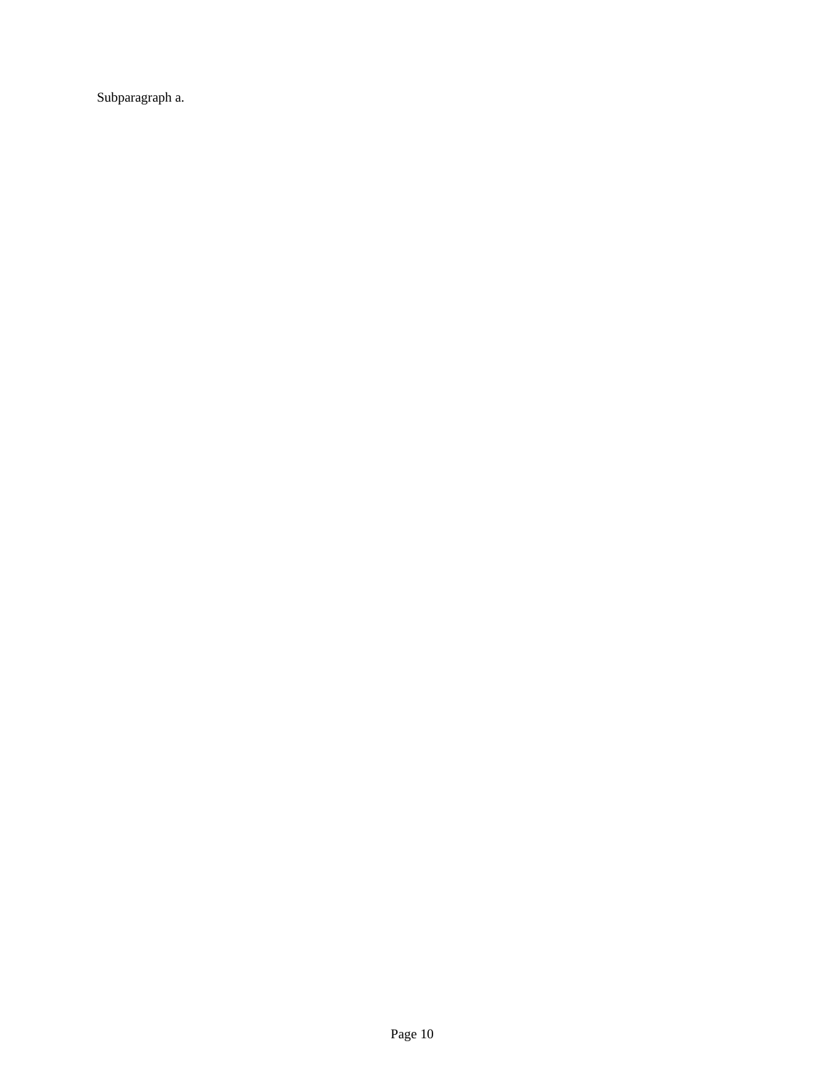Subparagraph a.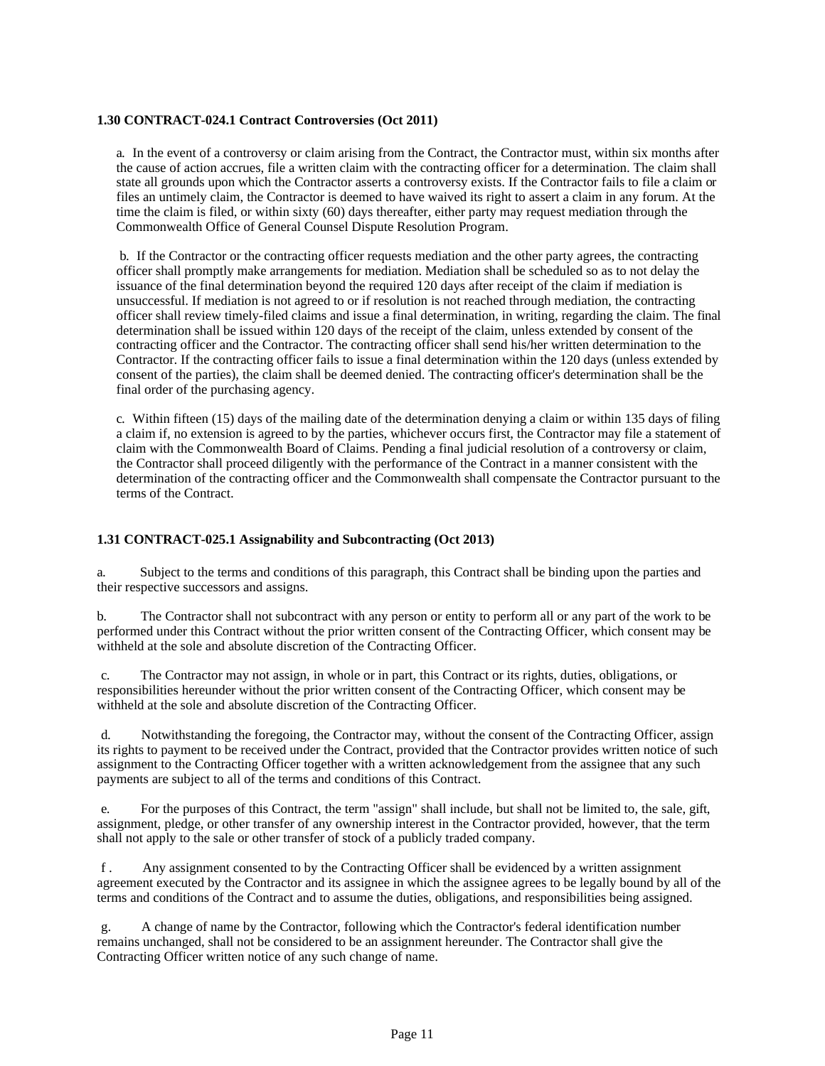### <span id="page-10-0"></span>**1.30 CONTRACT-024.1 Contract Controversies (Oct 2011)**

a. In the event of a controversy or claim arising from the Contract, the Contractor must, within six months after the cause of action accrues, file a written claim with the contracting officer for a determination. The claim shall state all grounds upon which the Contractor asserts a controversy exists. If the Contractor fails to file a claim or files an untimely claim, the Contractor is deemed to have waived its right to assert a claim in any forum. At the time the claim is filed, or within sixty (60) days thereafter, either party may request mediation through the Commonwealth Office of General Counsel Dispute Resolution Program.

b. If the Contractor or the contracting officer requests mediation and the other party agrees, the contracting officer shall promptly make arrangements for mediation. Mediation shall be scheduled so as to not delay the issuance of the final determination beyond the required 120 days after receipt of the claim if mediation is unsuccessful. If mediation is not agreed to or if resolution is not reached through mediation, the contracting officer shall review timely-filed claims and issue a final determination, in writing, regarding the claim. The final determination shall be issued within 120 days of the receipt of the claim, unless extended by consent of the contracting officer and the Contractor. The contracting officer shall send his/her written determination to the Contractor. If the contracting officer fails to issue a final determination within the 120 days (unless extended by consent of the parties), the claim shall be deemed denied. The contracting officer's determination shall be the final order of the purchasing agency.

c. Within fifteen (15) days of the mailing date of the determination denying a claim or within 135 days of filing a claim if, no extension is agreed to by the parties, whichever occurs first, the Contractor may file a statement of claim with the Commonwealth Board of Claims. Pending a final judicial resolution of a controversy or claim, the Contractor shall proceed diligently with the performance of the Contract in a manner consistent with the determination of the contracting officer and the Commonwealth shall compensate the Contractor pursuant to the terms of the Contract.

## <span id="page-10-1"></span>**1.31 CONTRACT-025.1 Assignability and Subcontracting (Oct 2013)**

a. Subject to the terms and conditions of this paragraph, this Contract shall be binding upon the parties and their respective successors and assigns.

b. The Contractor shall not subcontract with any person or entity to perform all or any part of the work to be performed under this Contract without the prior written consent of the Contracting Officer, which consent may be withheld at the sole and absolute discretion of the Contracting Officer.

c. The Contractor may not assign, in whole or in part, this Contract or its rights, duties, obligations, or responsibilities hereunder without the prior written consent of the Contracting Officer, which consent may be withheld at the sole and absolute discretion of the Contracting Officer.

d. Notwithstanding the foregoing, the Contractor may, without the consent of the Contracting Officer, assign its rights to payment to be received under the Contract, provided that the Contractor provides written notice of such assignment to the Contracting Officer together with a written acknowledgement from the assignee that any such payments are subject to all of the terms and conditions of this Contract.

For the purposes of this Contract, the term "assign" shall include, but shall not be limited to, the sale, gift, assignment, pledge, or other transfer of any ownership interest in the Contractor provided, however, that the term shall not apply to the sale or other transfer of stock of a publicly traded company.

f . Any assignment consented to by the Contracting Officer shall be evidenced by a written assignment agreement executed by the Contractor and its assignee in which the assignee agrees to be legally bound by all of the terms and conditions of the Contract and to assume the duties, obligations, and responsibilities being assigned.

g. A change of name by the Contractor, following which the Contractor's federal identification number remains unchanged, shall not be considered to be an assignment hereunder. The Contractor shall give the Contracting Officer written notice of any such change of name.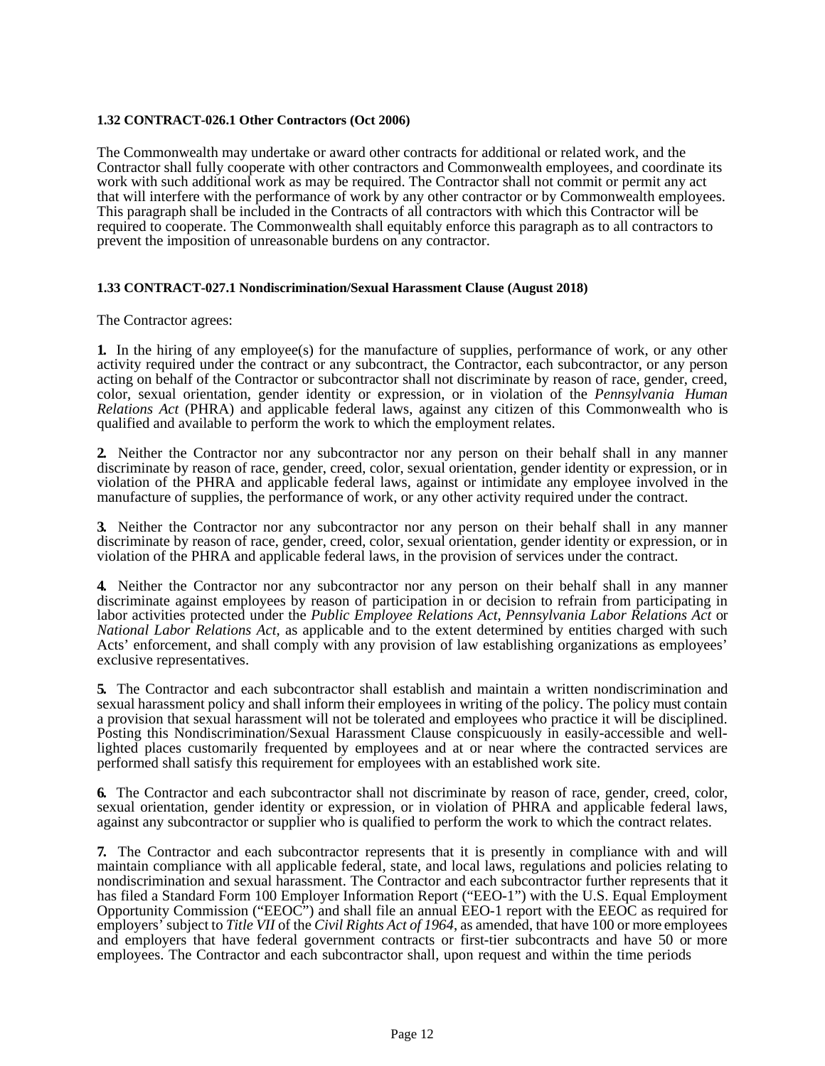## <span id="page-11-0"></span>**1.32 CONTRACT-026.1 Other Contractors (Oct 2006)**

The Commonwealth may undertake or award other contracts for additional or related work, and the Contractor shall fully cooperate with other contractors and Commonwealth employees, and coordinate its work with such additional work as may be required. The Contractor shall not commit or permit any act that will interfere with the performance of work by any other contractor or by Commonwealth employees. This paragraph shall be included in the Contracts of all contractors with which this Contractor will be required to cooperate. The Commonwealth shall equitably enforce this paragraph as to all contractors to prevent the imposition of unreasonable burdens on any contractor.

### <span id="page-11-1"></span>**1.33 CONTRACT-027.1 Nondiscrimination/Sexual Harassment Clause (August 2018)**

The Contractor agrees:

**1.** In the hiring of any employee(s) for the manufacture of supplies, performance of work, or any other activity required under the contract or any subcontract, the Contractor, each subcontractor, or any person acting on behalf of the Contractor or subcontractor shall not discriminate by reason of race, gender, creed, color, sexual orientation, gender identity or expression, or in violation of the *Pennsylvania Human Relations Act* (PHRA) and applicable federal laws, against any citizen of this Commonwealth who is qualified and available to perform the work to which the employment relates.

**2.** Neither the Contractor nor any subcontractor nor any person on their behalf shall in any manner discriminate by reason of race, gender, creed, color, sexual orientation, gender identity or expression, or in violation of the PHRA and applicable federal laws, against or intimidate any employee involved in the manufacture of supplies, the performance of work, or any other activity required under the contract.

**3.** Neither the Contractor nor any subcontractor nor any person on their behalf shall in any manner discriminate by reason of race, gender, creed, color, sexual orientation, gender identity or expression, or in violation of the PHRA and applicable federal laws, in the provision of services under the contract.

**4.** Neither the Contractor nor any subcontractor nor any person on their behalf shall in any manner discriminate against employees by reason of participation in or decision to refrain from participating in labor activities protected under the *Public Employee Relations Act*, *Pennsylvania Labor Relations Act* or *National Labor Relations Act,* as applicable and to the extent determined by entities charged with such Acts' enforcement, and shall comply with any provision of law establishing organizations as employees' exclusive representatives.

**5.** The Contractor and each subcontractor shall establish and maintain a written nondiscrimination and sexual harassment policy and shall inform their employees in writing of the policy. The policy must contain a provision that sexual harassment will not be tolerated and employees who practice it will be disciplined. lighted places customarily frequented by employees and at or near where the contracted services are performed shall satisfy this requirement for employees with an established work site.

**6.** The Contractor and each subcontractor shall not discriminate by reason of race, gender, creed, color, sexual orientation, gender identity or expression, or in violation of PHRA and applicable federal laws, against any subcontractor or supplier who is qualified to perform the work to which the contract relates.

**7.** The Contractor and each subcontractor represents that it is presently in compliance with and will maintain compliance with all applicable federal, state, and local laws, regulations and policies relating to nondiscrimination and sexual harassment. The Contractor and each subcontractor further represents that it has filed a Standard Form 100 Employer Information Report ("EEO-1") with the U.S. Equal Employment Opportunity Commission ("EEOC") and shall file an annual EEO-1 report with the EEOC as required for employers' subject to *Title VII* of the *Civil Rights Act of 1964*, as amended, that have 100 or more employees and employers that have federal government contracts or first-tier subcontracts and have 50 or more employees. The Contractor and each subcontractor shall, upon request and within the time periods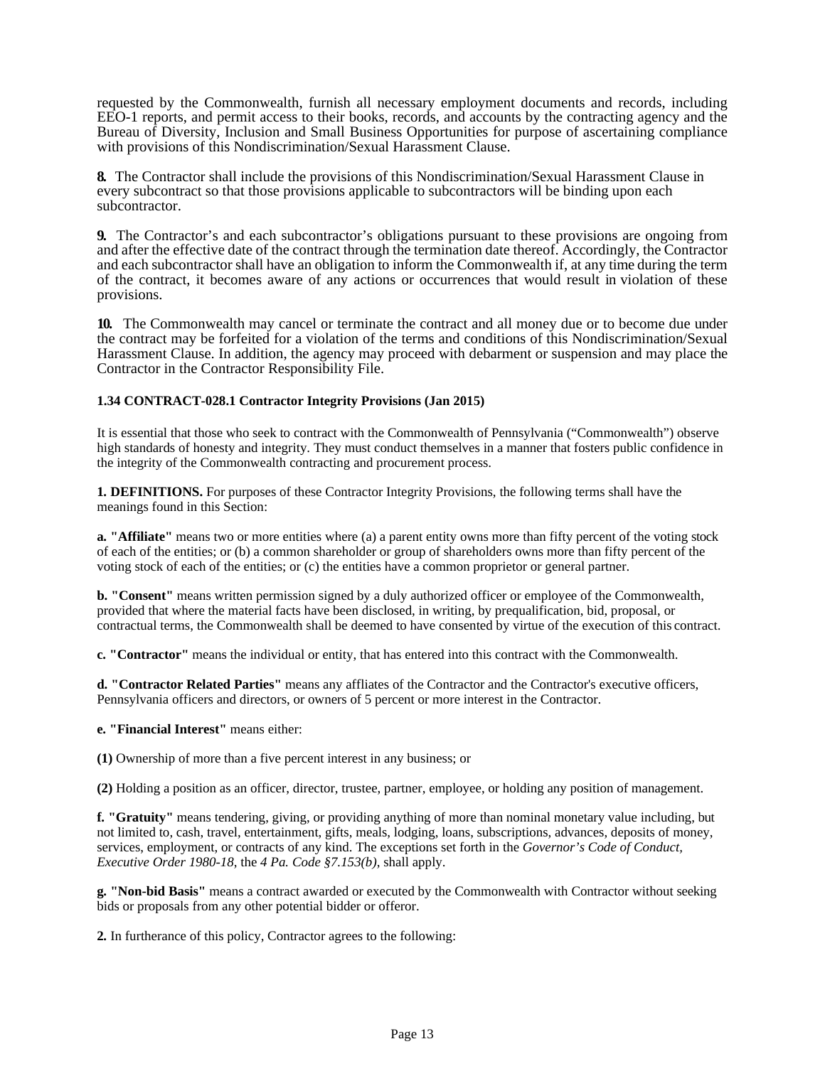requested by the Commonwealth, furnish all necessary employment documents and records, including EEO-1 reports, and permit access to their books, records, and accounts by the contracting agency and the Bureau of Diversity, Inclusion and Small Business Opportunities for purpose of ascertaining compliance with provisions of this Nondiscrimination/Sexual Harassment Clause.

**8.** The Contractor shall include the provisions of this Nondiscrimination/Sexual Harassment Clause in every subcontract so that those provisions applicable to subcontractors will be binding upon each subcontractor.

**9.** The Contractor's and each subcontractor's obligations pursuant to these provisions are ongoing from and after the effective date of the contract through the termination date thereof. Accordingly, the Contractor and each subcontractor shall have an obligation to inform the Commonwealth if, at any time during the term of the contract, it becomes aware of any actions or occurrences that would result in violation of these provisions.

**10.** The Commonwealth may cancel or terminate the contract and all money due or to become due under the contract may be forfeited for a violation of the terms and conditions of this Nondiscrimination/Sexual Harassment Clause. In addition, the agency may proceed with debarment or suspension and may place the Contractor in the Contractor Responsibility File.

## <span id="page-12-0"></span>**1.34 CONTRACT-028.1 Contractor Integrity Provisions (Jan 2015)**

It is essential that those who seek to contract with the Commonwealth of Pennsylvania ("Commonwealth") observe high standards of honesty and integrity. They must conduct themselves in a manner that fosters public confidence in the integrity of the Commonwealth contracting and procurement process.

**1. DEFINITIONS.** For purposes of these Contractor Integrity Provisions, the following terms shall have the meanings found in this Section:

**a. "Affiliate"** means two or more entities where (a) a parent entity owns more than fifty percent of the voting stock of each of the entities; or (b) a common shareholder or group of shareholders owns more than fifty percent of the voting stock of each of the entities; or (c) the entities have a common proprietor or general partner.

**b. "Consent"** means written permission signed by a duly authorized officer or employee of the Commonwealth, provided that where the material facts have been disclosed, in writing, by prequalification, bid, proposal, or contractual terms, the Commonwealth shall be deemed to have consented by virtue of the execution of this contract.

**c. "Contractor"** means the individual or entity, that has entered into this contract with the Commonwealth.

**d. "Contractor Related Parties"** means any affliates of the Contractor and the Contractor's executive officers, Pennsylvania officers and directors, or owners of 5 percent or more interest in the Contractor.

## **e. "Financial Interest"** means either:

**(1)** Ownership of more than a five percent interest in any business; or

**(2)** Holding a position as an officer, director, trustee, partner, employee, or holding any position of management.

**f. "Gratuity"** means tendering, giving, or providing anything of more than nominal monetary value including, but not limited to, cash, travel, entertainment, gifts, meals, lodging, loans, subscriptions, advances, deposits of money, services, employment, or contracts of any kind. The exceptions set forth in the *Governor's Code of Conduct, Executive Order 1980-18*, the *4 Pa. Code §7.153(b)*, shall apply.

**g. "Non-bid Basis"** means a contract awarded or executed by the Commonwealth with Contractor without seeking bids or proposals from any other potential bidder or offeror.

**2.** In furtherance of this policy, Contractor agrees to the following: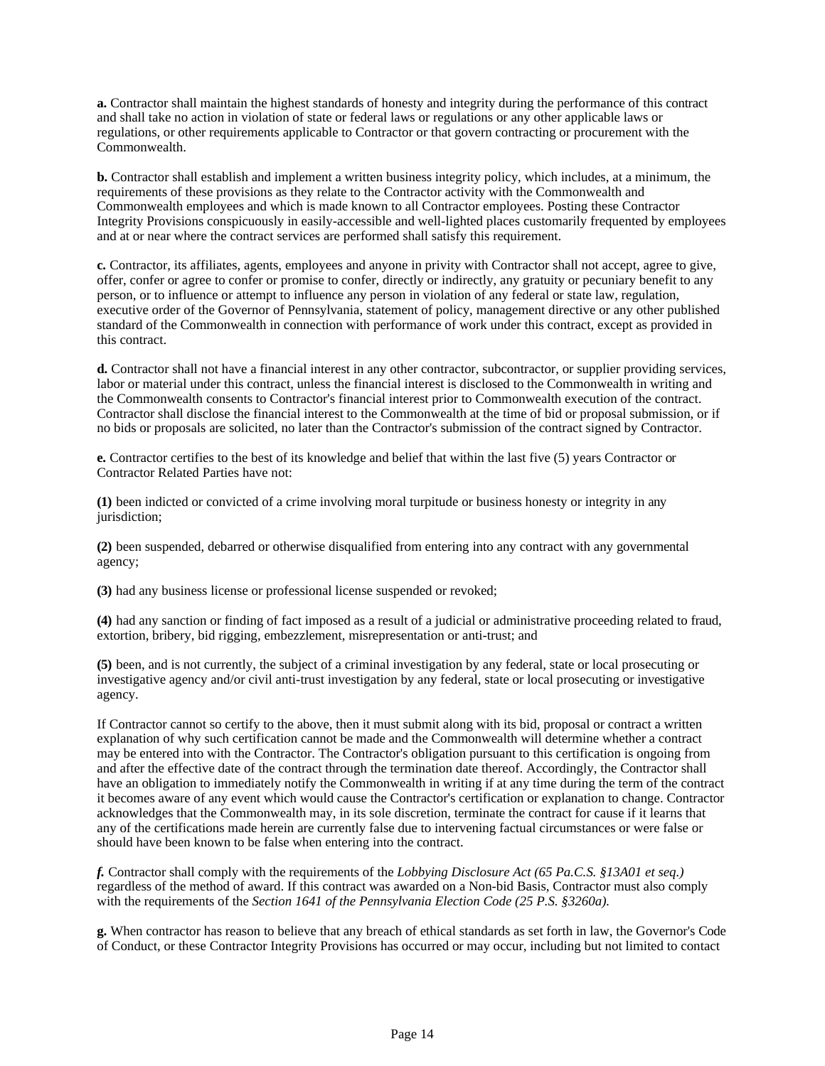**a.** Contractor shall maintain the highest standards of honesty and integrity during the performance of this contract and shall take no action in violation of state or federal laws or regulations or any other applicable laws or regulations, or other requirements applicable to Contractor or that govern contracting or procurement with the Commonwealth.

**b.** Contractor shall establish and implement a written business integrity policy, which includes, at a minimum, the requirements of these provisions as they relate to the Contractor activity with the Commonwealth and Commonwealth employees and which is made known to all Contractor employees. Posting these Contractor Integrity Provisions conspicuously in easily-accessible and well-lighted places customarily frequented by employees and at or near where the contract services are performed shall satisfy this requirement.

**c.** Contractor, its affiliates, agents, employees and anyone in privity with Contractor shall not accept, agree to give, offer, confer or agree to confer or promise to confer, directly or indirectly, any gratuity or pecuniary benefit to any person, or to influence or attempt to influence any person in violation of any federal or state law, regulation, executive order of the Governor of Pennsylvania, statement of policy, management directive or any other published standard of the Commonwealth in connection with performance of work under this contract, except as provided in this contract.

**d.** Contractor shall not have a financial interest in any other contractor, subcontractor, or supplier providing services, labor or material under this contract, unless the financial interest is disclosed to the Commonwealth in writing and the Commonwealth consents to Contractor's financial interest prior to Commonwealth execution of the contract. Contractor shall disclose the financial interest to the Commonwealth at the time of bid or proposal submission, or if no bids or proposals are solicited, no later than the Contractor's submission of the contract signed by Contractor.

**e.** Contractor certifies to the best of its knowledge and belief that within the last five (5) years Contractor or Contractor Related Parties have not:

**(1)** been indicted or convicted of a crime involving moral turpitude or business honesty or integrity in any jurisdiction;

**(2)** been suspended, debarred or otherwise disqualified from entering into any contract with any governmental agency;

**(3)** had any business license or professional license suspended or revoked;

**(4)** had any sanction or finding of fact imposed as a result of a judicial or administrative proceeding related to fraud, extortion, bribery, bid rigging, embezzlement, misrepresentation or anti-trust; and

**(5)** been, and is not currently, the subject of a criminal investigation by any federal, state or local prosecuting or investigative agency and/or civil anti-trust investigation by any federal, state or local prosecuting or investigative agency.

If Contractor cannot so certify to the above, then it must submit along with its bid, proposal or contract a written explanation of why such certification cannot be made and the Commonwealth will determine whether a contract may be entered into with the Contractor. The Contractor's obligation pursuant to this certification is ongoing from and after the effective date of the contract through the termination date thereof. Accordingly, the Contractor shall have an obligation to immediately notify the Commonwealth in writing if at any time during the term of the contract it becomes aware of any event which would cause the Contractor's certification or explanation to change. Contractor acknowledges that the Commonwealth may, in its sole discretion, terminate the contract for cause if it learns that any of the certifications made herein are currently false due to intervening factual circumstances or were false or should have been known to be false when entering into the contract.

*f.* Contractor shall comply with the requirements of the *Lobbying Disclosure Act (65 Pa.C.S. §13A01 et seq.)*  regardless of the method of award. If this contract was awarded on a Non-bid Basis, Contractor must also comply with the requirements of the *Section 1641 of the Pennsylvania Election Code (25 P.S. §3260a).*

**g.** When contractor has reason to believe that any breach of ethical standards as set forth in law, the Governor's Code of Conduct, or these Contractor Integrity Provisions has occurred or may occur, including but not limited to contact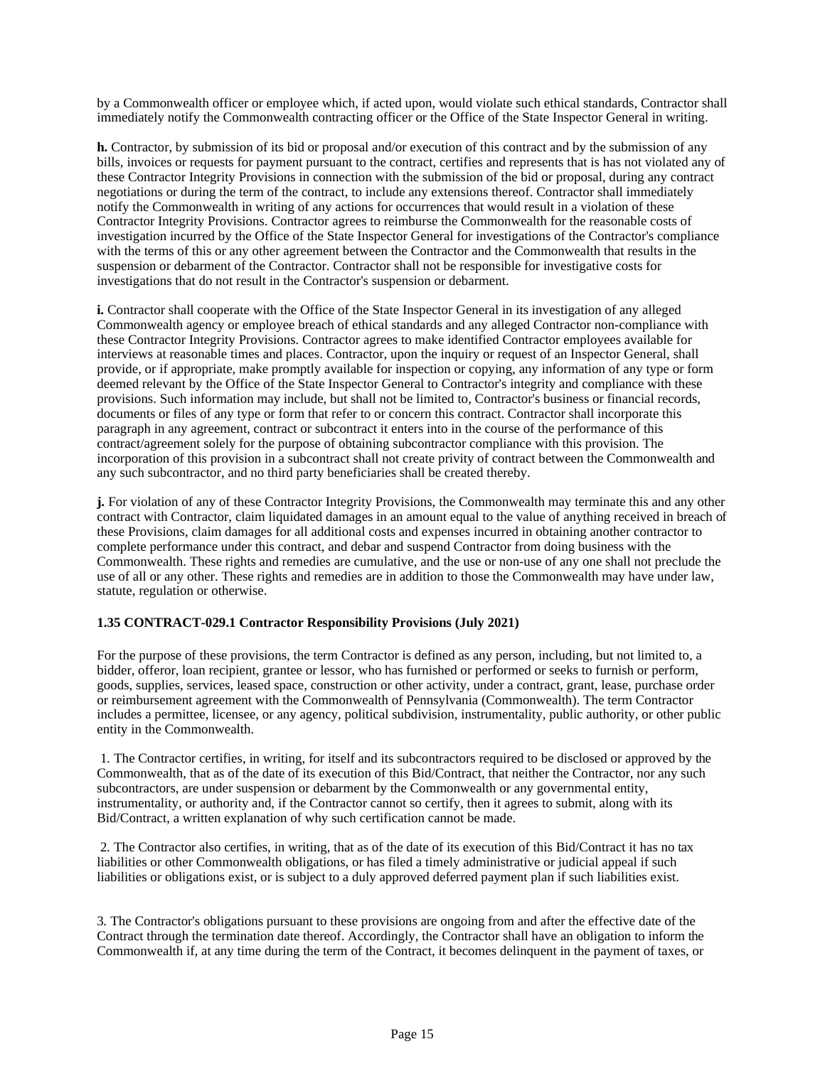by a Commonwealth officer or employee which, if acted upon, would violate such ethical standards, Contractor shall immediately notify the Commonwealth contracting officer or the Office of the State Inspector General in writing.

**h.** Contractor, by submission of its bid or proposal and/or execution of this contract and by the submission of any bills, invoices or requests for payment pursuant to the contract, certifies and represents that is has not violated any of these Contractor Integrity Provisions in connection with the submission of the bid or proposal, during any contract negotiations or during the term of the contract, to include any extensions thereof. Contractor shall immediately notify the Commonwealth in writing of any actions for occurrences that would result in a violation of these Contractor Integrity Provisions. Contractor agrees to reimburse the Commonwealth for the reasonable costs of investigation incurred by the Office of the State Inspector General for investigations of the Contractor's compliance with the terms of this or any other agreement between the Contractor and the Commonwealth that results in the suspension or debarment of the Contractor. Contractor shall not be responsible for investigative costs for investigations that do not result in the Contractor's suspension or debarment.

**i.** Contractor shall cooperate with the Office of the State Inspector General in its investigation of any alleged Commonwealth agency or employee breach of ethical standards and any alleged Contractor non-compliance with these Contractor Integrity Provisions. Contractor agrees to make identified Contractor employees available for interviews at reasonable times and places. Contractor, upon the inquiry or request of an Inspector General, shall provide, or if appropriate, make promptly available for inspection or copying, any information of any type or form deemed relevant by the Office of the State Inspector General to Contractor's integrity and compliance with these provisions. Such information may include, but shall not be limited to, Contractor's business or financial records, documents or files of any type or form that refer to or concern this contract. Contractor shall incorporate this paragraph in any agreement, contract or subcontract it enters into in the course of the performance of this contract/agreement solely for the purpose of obtaining subcontractor compliance with this provision. The incorporation of this provision in a subcontract shall not create privity of contract between the Commonwealth and any such subcontractor, and no third party beneficiaries shall be created thereby.

**j.** For violation of any of these Contractor Integrity Provisions, the Commonwealth may terminate this and any other contract with Contractor, claim liquidated damages in an amount equal to the value of anything received in breach of these Provisions, claim damages for all additional costs and expenses incurred in obtaining another contractor to complete performance under this contract, and debar and suspend Contractor from doing business with the Commonwealth. These rights and remedies are cumulative, and the use or non-use of any one shall not preclude the use of all or any other. These rights and remedies are in addition to those the Commonwealth may have under law, statute, regulation or otherwise.

## <span id="page-14-0"></span>**1.35 CONTRACT-029.1 Contractor Responsibility Provisions (July 2021)**

For the purpose of these provisions, the term Contractor is defined as any person, including, but not limited to, a bidder, offeror, loan recipient, grantee or lessor, who has furnished or performed or seeks to furnish or perform, goods, supplies, services, leased space, construction or other activity, under a contract, grant, lease, purchase order or reimbursement agreement with the Commonwealth of Pennsylvania (Commonwealth). The term Contractor includes a permittee, licensee, or any agency, political subdivision, instrumentality, public authority, or other public entity in the Commonwealth.

1. The Contractor certifies, in writing, for itself and its subcontractors required to be disclosed or approved by the Commonwealth, that as of the date of its execution of this Bid/Contract, that neither the Contractor, nor any such subcontractors, are under suspension or debarment by the Commonwealth or any governmental entity, instrumentality, or authority and, if the Contractor cannot so certify, then it agrees to submit, along with its Bid/Contract, a written explanation of why such certification cannot be made.

2. The Contractor also certifies, in writing, that as of the date of its execution of this Bid/Contract it has no tax liabilities or other Commonwealth obligations, or has filed a timely administrative or judicial appeal if such liabilities or obligations exist, or is subject to a duly approved deferred payment plan if such liabilities exist.

3. The Contractor's obligations pursuant to these provisions are ongoing from and after the effective date of the Contract through the termination date thereof. Accordingly, the Contractor shall have an obligation to inform the Commonwealth if, at any time during the term of the Contract, it becomes delinquent in the payment of taxes, or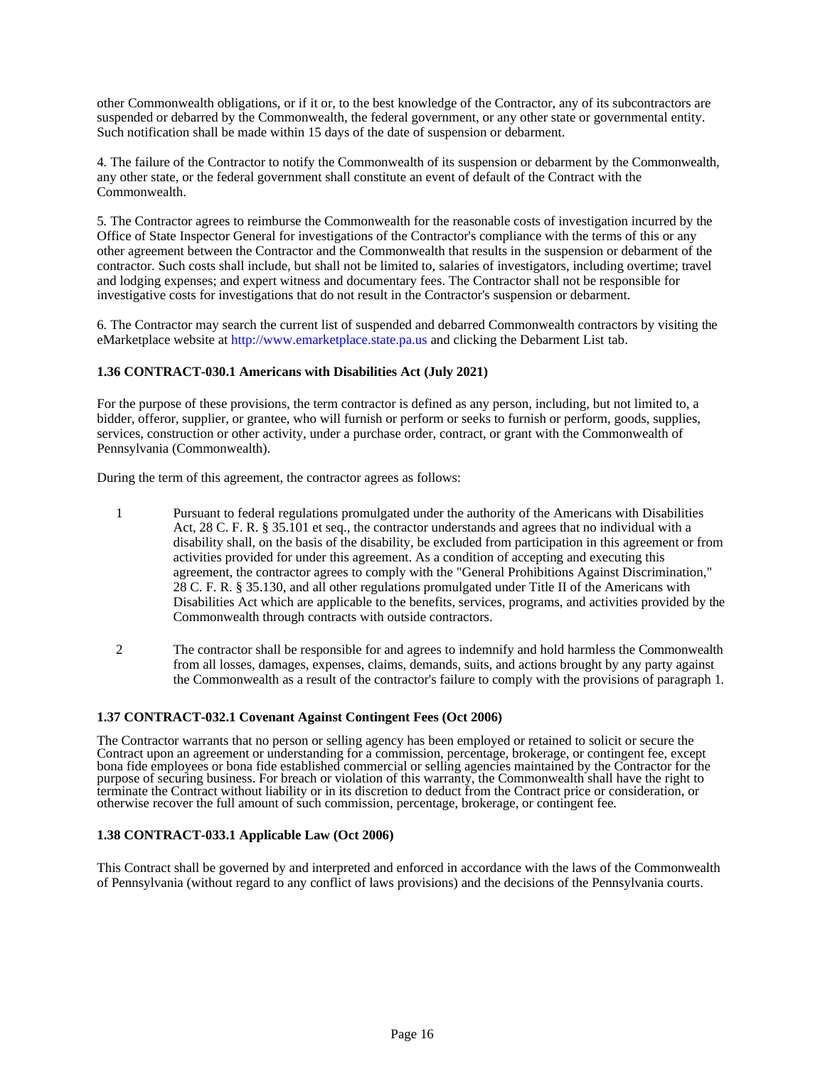other Commonwealth obligations, or if it or, to the best knowledge of the Contractor, any of its subcontractors are suspended or debarred by the Commonwealth, the federal government, or any other state or governmental entity. Such notification shall be made within 15 days of the date of suspension or debarment.

4. The failure of the Contractor to notify the Commonwealth of its suspension or debarment by the Commonwealth, any other state, or the federal government shall constitute an event of default of the Contract with the Commonwealth.

5. The Contractor agrees to reimburse the Commonwealth for the reasonable costs of investigation incurred by the Office of State Inspector General for investigations of the Contractor's compliance with the terms of this or any other agreement between the Contractor and the Commonwealth that results in the suspension or debarment of the contractor. Such costs shall include, but shall not be limited to, salaries of investigators, including overtime; travel and lodging expenses; and expert witness and documentary fees. The Contractor shall not be responsible for investigative costs for investigations that do not result in the Contractor's suspension or debarment.

6. The Contractor may search the current list of suspended and debarred Commonwealth contractors by visiting the eMarketplace website a[t http://www.emarketplace.state.pa.us a](http://www.emarketplace.state.pa.us/)nd clicking the Debarment List tab.

## <span id="page-15-0"></span>**1.36 CONTRACT-030.1 Americans with Disabilities Act (July 2021)**

For the purpose of these provisions, the term contractor is defined as any person, including, but not limited to, a bidder, offeror, supplier, or grantee, who will furnish or perform or seeks to furnish or perform, goods, supplies, services, construction or other activity, under a purchase order, contract, or grant with the Commonwealth of Pennsylvania (Commonwealth).

During the term of this agreement, the contractor agrees as follows:

- 1 Pursuant to federal regulations promulgated under the authority of the Americans with Disabilities Act, 28 C. F. R. § 35.101 et seq., the contractor understands and agrees that no individual with a disability shall, on the basis of the disability, be excluded from participation in this agreement or from activities provided for under this agreement. As a condition of accepting and executing this agreement, the contractor agrees to comply with the "General Prohibitions Against Discrimination," 28 C. F. R. § 35.130, and all other regulations promulgated under Title II of the Americans with Disabilities Act which are applicable to the benefits, services, programs, and activities provided by the Commonwealth through contracts with outside contractors.
- 2 The contractor shall be responsible for and agrees to indemnify and hold harmless the Commonwealth from all losses, damages, expenses, claims, demands, suits, and actions brought by any party against the Commonwealth as a result of the contractor's failure to comply with the provisions of paragraph 1.

#### <span id="page-15-1"></span>**1.37 CONTRACT-032.1 Covenant Against Contingent Fees (Oct 2006)**

The Contractor warrants that no person or selling agency has been employed or retained to solicit or secure the Contract upon an agreement or understanding for a commission, percentage, brokerage, or contingent fee, except bona fide employees or bona fide established commercial or selling agencies maintained by the Contractor for the purpose of securing business. For breach or violation of this warranty, the Commonwealth shall have the right to terminate the Contract without liability or in its discretion to deduct from the Contract price or consideration, or otherwise recover the full amount of such commission, percentage, brokerage, or contingent fee.

#### <span id="page-15-2"></span>**1.38 CONTRACT-033.1 Applicable Law (Oct 2006)**

This Contract shall be governed by and interpreted and enforced in accordance with the laws of the Commonwealth of Pennsylvania (without regard to any conflict of laws provisions) and the decisions of the Pennsylvania courts.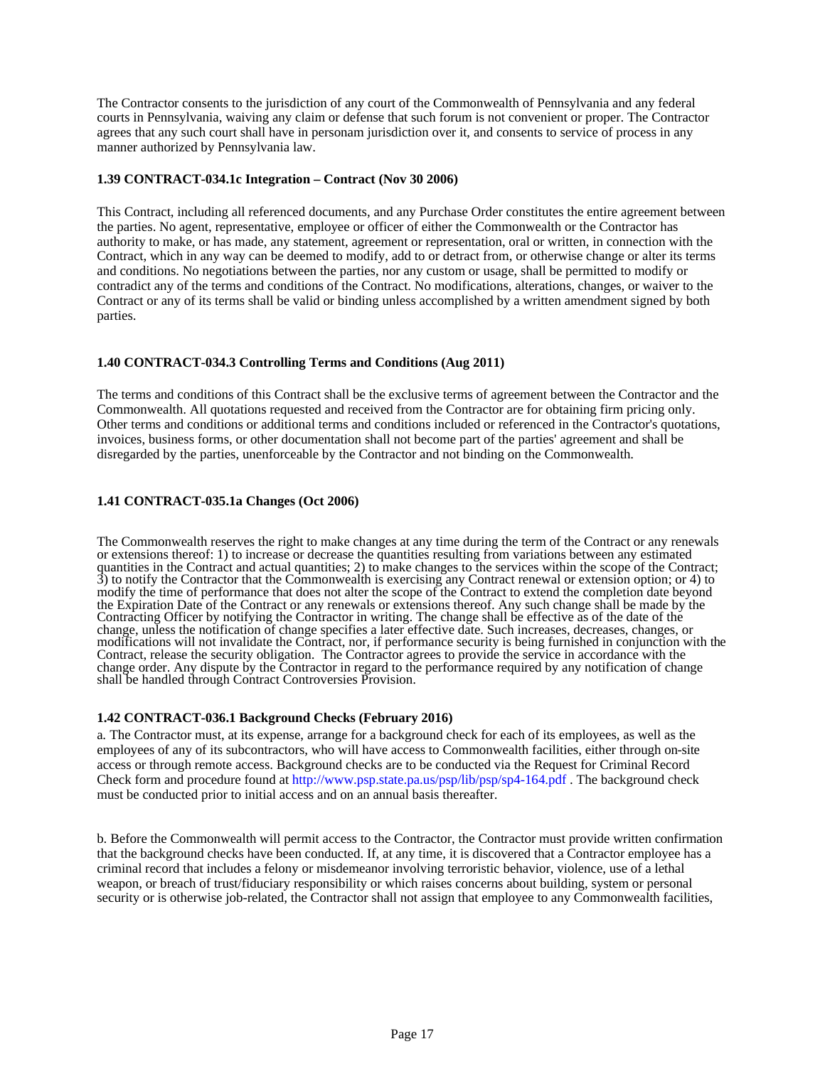The Contractor consents to the jurisdiction of any court of the Commonwealth of Pennsylvania and any federal courts in Pennsylvania, waiving any claim or defense that such forum is not convenient or proper. The Contractor agrees that any such court shall have in personam jurisdiction over it, and consents to service of process in any manner authorized by Pennsylvania law.

### <span id="page-16-0"></span>**1.39 CONTRACT-034.1c Integration – Contract (Nov 30 2006)**

This Contract, including all referenced documents, and any Purchase Order constitutes the entire agreement between the parties. No agent, representative, employee or officer of either the Commonwealth or the Contractor has authority to make, or has made, any statement, agreement or representation, oral or written, in connection with the Contract, which in any way can be deemed to modify, add to or detract from, or otherwise change or alter its terms and conditions. No negotiations between the parties, nor any custom or usage, shall be permitted to modify or contradict any of the terms and conditions of the Contract. No modifications, alterations, changes, or waiver to the Contract or any of its terms shall be valid or binding unless accomplished by a written amendment signed by both parties.

## <span id="page-16-1"></span>**1.40 CONTRACT-034.3 Controlling Terms and Conditions (Aug 2011)**

The terms and conditions of this Contract shall be the exclusive terms of agreement between the Contractor and the Commonwealth. All quotations requested and received from the Contractor are for obtaining firm pricing only. Other terms and conditions or additional terms and conditions included or referenced in the Contractor's quotations, invoices, business forms, or other documentation shall not become part of the parties' agreement and shall be disregarded by the parties, unenforceable by the Contractor and not binding on the Commonwealth.

### <span id="page-16-2"></span>**1.41 CONTRACT-035.1a Changes (Oct 2006)**

The Commonwealth reserves the right to make changes at any time during the term of the Contract or any renewals or extensions thereof: 1) to increase or decrease the quantities resulting from variations between any estimated quantities in the Contract and actual quantities; 2) to make changes to the services within the scope of the Contract; 3) to notify the Contractor that the Commonwealth is exercising any Contract renewal or extension option; or 4) to modify the time of performance that does not alter the scope of the Contract to extend the completion date beyond the Expiration Date of the Contract or any renewals or extensions thereof. Any such change shall be made by the Contracting Officer by notifying the Contractor in writing. The change shall be effective as of the date of the change, unless the notification of change specifies a later effective date. Such increases, decreases, changes, or modifications will not invalidate the Contract, nor, if performance security is being furnished in conjunction with the Contract, release the security obligation. The Contractor agrees to provide the service in accordance with the change order. Any dispute by the Contractor in regard to the performance required by any notification of change shall be handled through Contract Controversies Provision.

#### <span id="page-16-3"></span>**1.42 CONTRACT-036.1 Background Checks (February 2016)**

a. The Contractor must, at its expense, arrange for a background check for each of its employees, as well as the employees of any of its subcontractors, who will have access to Commonwealth facilities, either through on-site access or through remote access. Background checks are to be conducted via the Request for Criminal Record Check form and procedure found at [http://www.psp.state.pa.us/psp/lib/psp/sp4-164.pdf .](http://www.psp.state.pa.us/psp/lib/psp/sp4-164.pdf) The background check must be conducted prior to initial access and on an annual basis thereafter.

b. Before the Commonwealth will permit access to the Contractor, the Contractor must provide written confirmation that the background checks have been conducted. If, at any time, it is discovered that a Contractor employee has a criminal record that includes a felony or misdemeanor involving terroristic behavior, violence, use of a lethal weapon, or breach of trust/fiduciary responsibility or which raises concerns about building, system or personal security or is otherwise job-related, the Contractor shall not assign that employee to any Commonwealth facilities,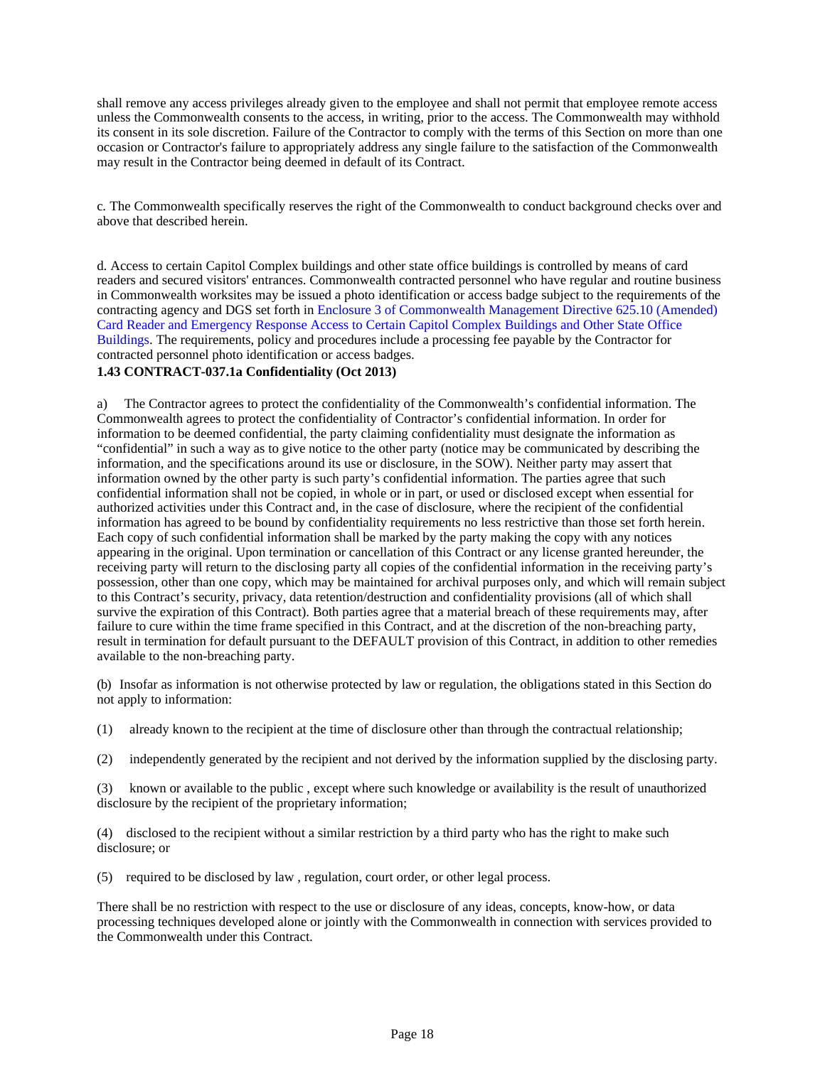shall remove any access privileges already given to the employee and shall not permit that employee remote access unless the Commonwealth consents to the access, in writing, prior to the access. The Commonwealth may withhold its consent in its sole discretion. Failure of the Contractor to comply with the terms of this Section on more than one occasion or Contractor's failure to appropriately address any single failure to the satisfaction of the Commonwealth may result in the Contractor being deemed in default of its Contract.

c. The Commonwealth specifically reserves the right of the Commonwealth to conduct background checks over and above that described herein.

d. Access to certain Capitol Complex buildings and other state office buildings is controlled by means of card readers and secured visitors' entrances. Commonwealth contracted personnel who have regular and routine business in Commonwealth worksites may be issued a photo identification or access badge subject to the requirements of the contracting agency and DGS set forth in Enclosure 3 of Commonwealth Management Directive 625.10 (Amended) Card Reader and Emergency Response Access to Certain Capitol Complex Buildings and Other State Office Buildings. The requirements, policy and procedures include a processing fee payable by the Contractor for contracted personnel photo identification or access badges.

## <span id="page-17-0"></span>**1.43 CONTRACT-037.1a Confidentiality (Oct 2013)**

a) The Contractor agrees to protect the confidentiality of the Commonwealth's confidential information. The Commonwealth agrees to protect the confidentiality of Contractor's confidential information. In order for information to be deemed confidential, the party claiming confidentiality must designate the information as "confidential" in such a way as to give notice to the other party (notice may be communicated by describing the information, and the specifications around its use or disclosure, in the SOW). Neither party may assert that information owned by the other party is such party's confidential information. The parties agree that such confidential information shall not be copied, in whole or in part, or used or disclosed except when essential for authorized activities under this Contract and, in the case of disclosure, where the recipient of the confidential information has agreed to be bound by confidentiality requirements no less restrictive than those set forth herein. Each copy of such confidential information shall be marked by the party making the copy with any notices appearing in the original. Upon termination or cancellation of this Contract or any license granted hereunder, the receiving party will return to the disclosing party all copies of the confidential information in the receiving party's possession, other than one copy, which may be maintained for archival purposes only, and which will remain subject to this Contract's security, privacy, data retention/destruction and confidentiality provisions (all of which shall survive the expiration of this Contract). Both parties agree that a material breach of these requirements may, after failure to cure within the time frame specified in this Contract, and at the discretion of the non-breaching party, result in termination for default pursuant to the DEFAULT provision of this Contract, in addition to other remedies available to the non-breaching party.

(b) Insofar as information is not otherwise protected by law or regulation, the obligations stated in this Section do not apply to information:

(1) already known to the recipient at the time of disclosure other than through the contractual relationship;

(2) independently generated by the recipient and not derived by the information supplied by the disclosing party.

(3) known or available to the public , except where such knowledge or availability is the result of unauthorized disclosure by the recipient of the proprietary information;

(4) disclosed to the recipient without a similar restriction by a third party who has the right to make such disclosure; or

(5) required to be disclosed by law , regulation, court order, or other legal process.

There shall be no restriction with respect to the use or disclosure of any ideas, concepts, know-how, or data processing techniques developed alone or jointly with the Commonwealth in connection with services provided to the Commonwealth under this Contract.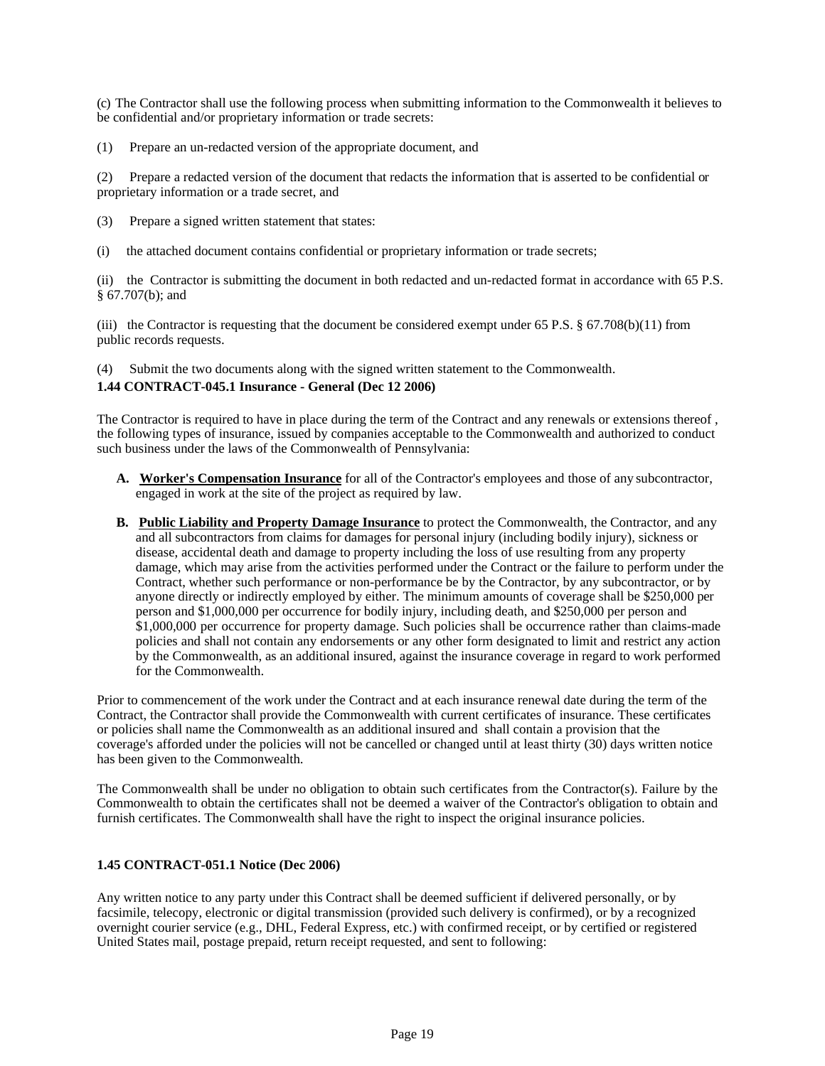(c) The Contractor shall use the following process when submitting information to the Commonwealth it believes to be confidential and/or proprietary information or trade secrets:

(1) Prepare an un-redacted version of the appropriate document, and

(2) Prepare a redacted version of the document that redacts the information that is asserted to be confidential or proprietary information or a trade secret, and

- (3) Prepare a signed written statement that states:
- (i) the attached document contains confidential or proprietary information or trade secrets;

(ii) the Contractor is submitting the document in both redacted and un-redacted format in accordance with 65 P.S. § 67.707(b); and

(iii) the Contractor is requesting that the document be considered exempt under 65 P.S.  $\S$  67.708(b)(11) from public records requests.

(4) Submit the two documents along with the signed written statement to the Commonwealth.

#### <span id="page-18-0"></span>**1.44 CONTRACT-045.1 Insurance - General (Dec 12 2006)**

The Contractor is required to have in place during the term of the Contract and any renewals or extensions thereof , the following types of insurance, issued by companies acceptable to the Commonwealth and authorized to conduct such business under the laws of the Commonwealth of Pennsylvania:

- **A. Worker's Compensation Insurance** for all of the Contractor's employees and those of any subcontractor, engaged in work at the site of the project as required by law.
- **B. Public Liability and Property Damage Insurance** to protect the Commonwealth, the Contractor, and any and all subcontractors from claims for damages for personal injury (including bodily injury), sickness or disease, accidental death and damage to property including the loss of use resulting from any property damage, which may arise from the activities performed under the Contract or the failure to perform under the Contract, whether such performance or non-performance be by the Contractor, by any subcontractor, or by anyone directly or indirectly employed by either. The minimum amounts of coverage shall be \$250,000 per person and \$1,000,000 per occurrence for bodily injury, including death, and \$250,000 per person and \$1,000,000 per occurrence for property damage. Such policies shall be occurrence rather than claims-made policies and shall not contain any endorsements or any other form designated to limit and restrict any action by the Commonwealth, as an additional insured, against the insurance coverage in regard to work performed for the Commonwealth.

Prior to commencement of the work under the Contract and at each insurance renewal date during the term of the Contract, the Contractor shall provide the Commonwealth with current certificates of insurance. These certificates or policies shall name the Commonwealth as an additional insured and shall contain a provision that the coverage's afforded under the policies will not be cancelled or changed until at least thirty (30) days written notice has been given to the Commonwealth.

The Commonwealth shall be under no obligation to obtain such certificates from the Contractor(s). Failure by the Commonwealth to obtain the certificates shall not be deemed a waiver of the Contractor's obligation to obtain and furnish certificates. The Commonwealth shall have the right to inspect the original insurance policies.

#### <span id="page-18-1"></span>**1.45 CONTRACT-051.1 Notice (Dec 2006)**

Any written notice to any party under this Contract shall be deemed sufficient if delivered personally, or by facsimile, telecopy, electronic or digital transmission (provided such delivery is confirmed), or by a recognized overnight courier service (e.g., DHL, Federal Express, etc.) with confirmed receipt, or by certified or registered United States mail, postage prepaid, return receipt requested, and sent to following: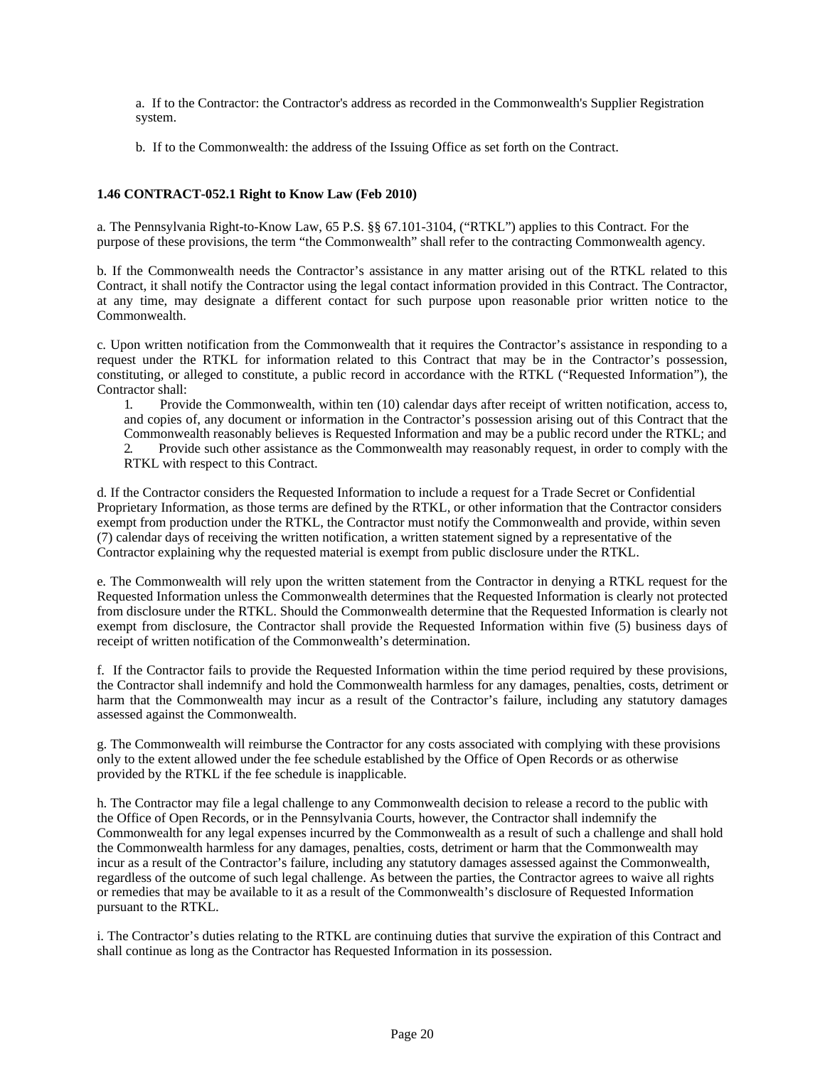a. If to the Contractor: the Contractor's address as recorded in the Commonwealth's Supplier Registration system.

b. If to the Commonwealth: the address of the Issuing Office as set forth on the Contract.

## <span id="page-19-0"></span>**1.46 CONTRACT-052.1 Right to Know Law (Feb 2010)**

a. The Pennsylvania Right-to-Know Law, 65 P.S. §§ 67.101-3104, ("RTKL") applies to this Contract. For the purpose of these provisions, the term "the Commonwealth" shall refer to the contracting Commonwealth agency.

b. If the Commonwealth needs the Contractor's assistance in any matter arising out of the RTKL related to this Contract, it shall notify the Contractor using the legal contact information provided in this Contract. The Contractor, at any time, may designate a different contact for such purpose upon reasonable prior written notice to the Commonwealth.

c. Upon written notification from the Commonwealth that it requires the Contractor's assistance in responding to a request under the RTKL for information related to this Contract that may be in the Contractor's possession, constituting, or alleged to constitute, a public record in accordance with the RTKL ("Requested Information"), the Contractor shall:

1. Provide the Commonwealth, within ten (10) calendar days after receipt of written notification, access to, and copies of, any document or information in the Contractor's possession arising out of this Contract that the Commonwealth reasonably believes is Requested Information and may be a public record under the RTKL; and 2. Provide such other assistance as the Commonwealth may reasonably request, in order to comply with the

RTKL with respect to this Contract.

d. If the Contractor considers the Requested Information to include a request for a Trade Secret or Confidential Proprietary Information, as those terms are defined by the RTKL, or other information that the Contractor considers exempt from production under the RTKL, the Contractor must notify the Commonwealth and provide, within seven (7) calendar days of receiving the written notification, a written statement signed by a representative of the Contractor explaining why the requested material is exempt from public disclosure under the RTKL.

e. The Commonwealth will rely upon the written statement from the Contractor in denying a RTKL request for the Requested Information unless the Commonwealth determines that the Requested Information is clearly not protected from disclosure under the RTKL. Should the Commonwealth determine that the Requested Information is clearly not exempt from disclosure, the Contractor shall provide the Requested Information within five (5) business days of receipt of written notification of the Commonwealth's determination.

f. If the Contractor fails to provide the Requested Information within the time period required by these provisions, the Contractor shall indemnify and hold the Commonwealth harmless for any damages, penalties, costs, detriment or harm that the Commonwealth may incur as a result of the Contractor's failure, including any statutory damages assessed against the Commonwealth.

g. The Commonwealth will reimburse the Contractor for any costs associated with complying with these provisions only to the extent allowed under the fee schedule established by the Office of Open Records or as otherwise provided by the RTKL if the fee schedule is inapplicable.

h. The Contractor may file a legal challenge to any Commonwealth decision to release a record to the public with the Office of Open Records, or in the Pennsylvania Courts, however, the Contractor shall indemnify the Commonwealth for any legal expenses incurred by the Commonwealth as a result of such a challenge and shall hold the Commonwealth harmless for any damages, penalties, costs, detriment or harm that the Commonwealth may incur as a result of the Contractor's failure, including any statutory damages assessed against the Commonwealth, regardless of the outcome of such legal challenge. As between the parties, the Contractor agrees to waive all rights or remedies that may be available to it as a result of the Commonwealth's disclosure of Requested Information pursuant to the RTKL.

i. The Contractor's duties relating to the RTKL are continuing duties that survive the expiration of this Contract and shall continue as long as the Contractor has Requested Information in its possession.